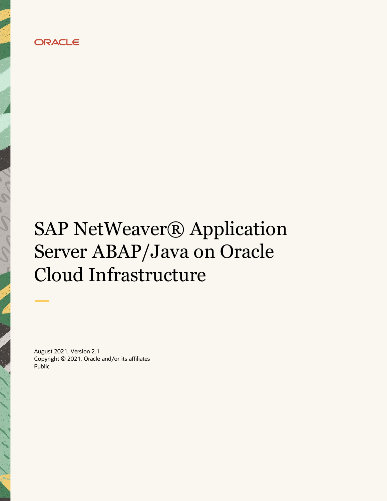

# SAP NetWeaver® Application Server ABAP/Java on Oracle Cloud Infrastructure

August 2021, Version 2.1 Copyright © 2021, Oracle and/or its affiliates Public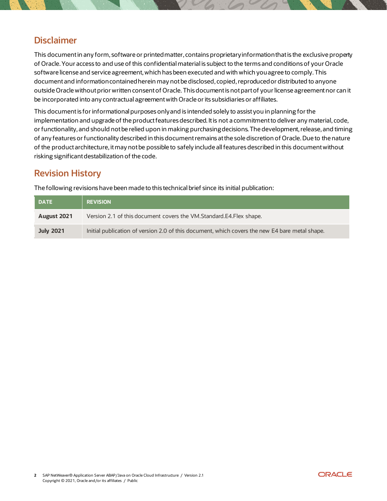# **Disclaimer**

This document in any form, software or printed matter, contains proprietary information that is the exclusive property of Oracle. Your access to and use of this confidential material is subject to the terms and conditions of your Oracle software license and service agreement, which has been executed and with which you agree to comply. This document and information contained herein may not be disclosed, copied, reproduced or distributed to anyone outside Oracle without prior written consent of Oracle. This document is not part of your license agreement nor can it be incorporated into any contractual agreement with Oracle or its subsidiaries or affiliates.

This document is for informational purposes only and is intended solely to assist you in planning for the implementation and upgrade of the product features described. It is not a commitment to deliver any material, code, or functionality, and should not be relied upon in making purchasing decisions. The development, release, and timing of any features or functionality described in this document remains at the sole discretion of Oracle. Due to the nature of the product architecture, it may not be possible to safely include all features described in this document without risking significant destabilization of the code.

# **Revision History**

The following revisions have been made to this technical brief since its initial publication:

| <b>DATE</b>      | <b>REVISION</b>                                                                                |
|------------------|------------------------------------------------------------------------------------------------|
| August 2021      | Version 2.1 of this document covers the VM.Standard.E4.Flex shape.                             |
| <b>July 2021</b> | Initial publication of version 2.0 of this document, which covers the new E4 bare metal shape. |

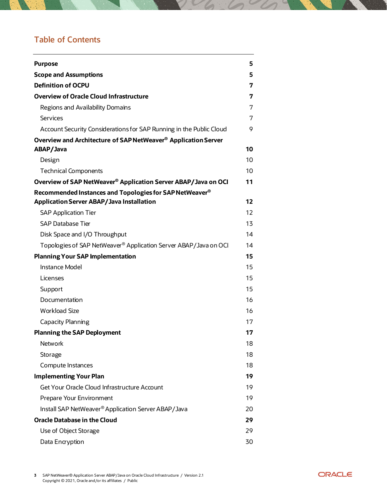# **Table of Contents**

| <b>Purpose</b>                                                               | 5  |
|------------------------------------------------------------------------------|----|
| <b>Scope and Assumptions</b>                                                 | 5  |
| <b>Definition of OCPU</b>                                                    | 7  |
| <b>Overview of Oracle Cloud Infrastructure</b>                               | 7  |
| Regions and Availability Domains                                             | 7  |
| Services                                                                     | 7  |
| Account Security Considerations for SAP Running in the Public Cloud          | 9  |
| Overview and Architecture of SAP NetWeaver <sup>®</sup> Application Server   |    |
| ABAP/Java                                                                    | 10 |
| Design                                                                       | 10 |
| <b>Technical Components</b>                                                  | 10 |
| Overview of SAP NetWeaver <sup>®</sup> Application Server ABAP/Java on OCI   | 11 |
| Recommended Instances and Topologies for SAP NetWeaver <sup>®</sup>          |    |
| <b>Application Server ABAP/Java Installation</b>                             | 12 |
| <b>SAP Application Tier</b>                                                  | 12 |
| <b>SAP Database Tier</b>                                                     | 13 |
| Disk Space and I/O Throughput                                                | 14 |
| Topologies of SAP NetWeaver <sup>®</sup> Application Server ABAP/Java on OCI | 14 |
| <b>Planning Your SAP Implementation</b>                                      | 15 |
| <b>Instance Model</b>                                                        | 15 |
| Licenses                                                                     | 15 |
| Support                                                                      | 15 |
| Documentation                                                                | 16 |
| <b>Workload Size</b>                                                         | 16 |
| Capacity Planning                                                            | 17 |
| <b>Planning the SAP Deployment</b>                                           | 17 |
| Network                                                                      | 18 |
| Storage                                                                      | 18 |
| Compute Instances                                                            | 18 |
| <b>Implementing Your Plan</b>                                                | 19 |
| Get Your Oracle Cloud Infrastructure Account                                 | 19 |
| Prepare Your Environment                                                     | 19 |
| Install SAP NetWeaver <sup>®</sup> Application Server ABAP/Java              | 20 |
| <b>Oracle Database in the Cloud</b>                                          | 29 |
| Use of Object Storage                                                        | 29 |
| Data Encryption                                                              | 30 |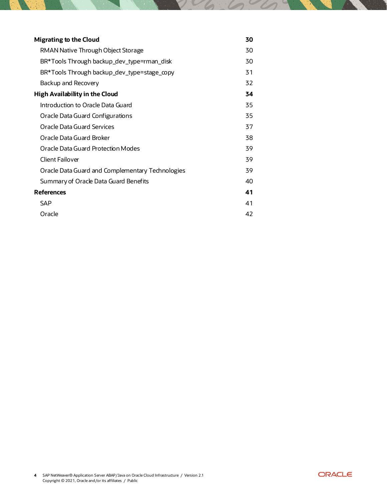| <b>Migrating to the Cloud</b>                    | 30 |
|--------------------------------------------------|----|
| RMAN Native Through Object Storage               | 30 |
| BR*Tools Through backup_dev_type=rman_disk       | 30 |
| BR*Tools Through backup_dev_type=stage_copy      | 31 |
| Backup and Recovery                              | 32 |
| <b>High Availability in the Cloud</b>            | 34 |
| Introduction to Oracle Data Guard                | 35 |
| Oracle Data Guard Configurations                 | 35 |
| Oracle Data Guard Services                       | 37 |
| Oracle Data Guard Broker                         | 38 |
| Oracle Data Guard Protection Modes               | 39 |
| Client Failover                                  | 39 |
| Oracle Data Guard and Complementary Technologies | 39 |
| Summary of Oracle Data Guard Benefits            | 40 |
| <b>References</b>                                | 41 |
| SAP                                              | 41 |
| Oracle                                           | 42 |

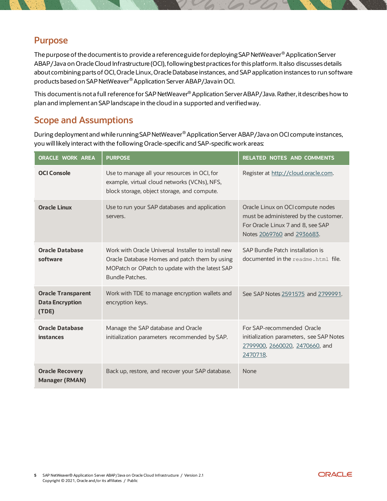# <span id="page-4-0"></span>**Purpose**

The purpose of the documentis to provide a reference guide for deploying SAP NetWeaver® Application Server ABAP/Java on Oracle Cloud Infrastructure (OCI), following best practices for this platform. It also discusses details about combining parts of OCI, Oracle Linux, Oracle Database instances, and SAP application instances to run software products based on SAP NetWeaver® Application Server ABAP/Java in OCI.

This documentis not a full reference for SAP NetWeaver® Application Server ABAP/Java. Rather, it describes how to plan and implement an SAP landscape in the cloud in a supported and verified way.

# <span id="page-4-1"></span>**Scope and Assumptions**

During deployment and while running SAP NetWeaver® Application Server ABAP/Java on OCI compute instances, you will likely interact with the following Oracle-specific and SAP-specific work areas:

| <b>ORACLE WORK AREA</b>                                      | <b>PURPOSE</b>                                                                                                                                                             | <b>RELATED NOTES AND COMMENTS</b>                                                                                                             |  |  |
|--------------------------------------------------------------|----------------------------------------------------------------------------------------------------------------------------------------------------------------------------|-----------------------------------------------------------------------------------------------------------------------------------------------|--|--|
| <b>OCI Console</b>                                           | Use to manage all your resources in OCI, for<br>example, virtual cloud networks (VCNs), NFS,<br>block storage, object storage, and compute.                                | Register at http://cloud.oracle.com.                                                                                                          |  |  |
| <b>Oracle Linux</b>                                          | Use to run your SAP databases and application<br>servers.                                                                                                                  | Oracle Linux on OCI compute nodes<br>must be administered by the customer.<br>For Oracle Linux 7 and 8, see SAP<br>Notes 2069760 and 2936683. |  |  |
| <b>Oracle Database</b><br>software                           | Work with Oracle Universal Installer to install new<br>Oracle Database Homes and patch them by using<br>MOPatch or OPatch to update with the latest SAP<br>Bundle Patches. | SAP Bundle Patch installation is<br>documented in the readme, html file.                                                                      |  |  |
| <b>Oracle Transparent</b><br><b>Data Encryption</b><br>(TDE) | Work with TDE to manage encryption wallets and<br>encryption keys.                                                                                                         | See SAP Notes 2591575 and 2799991.                                                                                                            |  |  |
| <b>Oracle Database</b><br><b>instances</b>                   | Manage the SAP database and Oracle<br>initialization parameters recommended by SAP.                                                                                        | For SAP-recommended Oracle<br>initialization parameters, see SAP Notes<br>2799900, 2660020, 2470660, and<br>2470718.                          |  |  |
| <b>Oracle Recovery</b><br><b>Manager (RMAN)</b>              | Back up, restore, and recover your SAP database.                                                                                                                           | <b>None</b>                                                                                                                                   |  |  |

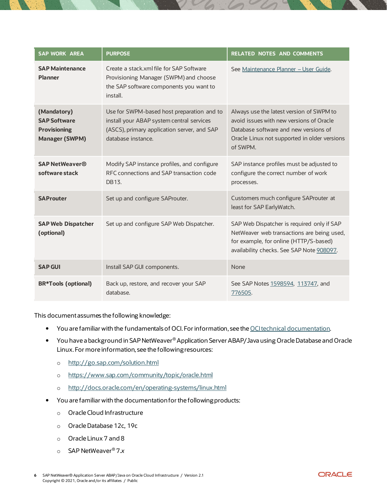| <b>SAP WORK AREA</b>                                                               | <b>PURPOSE</b>                                                                                                                                               | <b>RELATED NOTES AND COMMENTS</b>                                                                                                                                                         |  |  |
|------------------------------------------------------------------------------------|--------------------------------------------------------------------------------------------------------------------------------------------------------------|-------------------------------------------------------------------------------------------------------------------------------------------------------------------------------------------|--|--|
| <b>SAP Maintenance</b><br><b>Planner</b>                                           | Create a stack.xml file for SAP Software<br>Provisioning Manager (SWPM) and choose<br>the SAP software components you want to<br>install.                    | See Maintenance Planner - User Guide.                                                                                                                                                     |  |  |
| (Mandatory)<br><b>SAP Software</b><br><b>Provisioning</b><br><b>Manager (SWPM)</b> | Use for SWPM-based host preparation and to<br>install your ABAP system central services<br>(ASCS), primary application server, and SAP<br>database instance. | Always use the latest version of SWPM to<br>avoid issues with new versions of Oracle<br>Database software and new versions of<br>Oracle Linux not supported in older versions<br>of SWPM. |  |  |
| <b>SAP NetWeaver®</b><br>software stack                                            | Modify SAP instance profiles, and configure<br>RFC connections and SAP transaction code<br>DB13.                                                             | SAP instance profiles must be adjusted to<br>configure the correct number of work<br>processes.                                                                                           |  |  |
| <b>SAProuter</b>                                                                   | Set up and configure SAProuter.                                                                                                                              | Customers much configure SAProuter at<br>least for SAP EarlyWatch.                                                                                                                        |  |  |
| <b>SAP Web Dispatcher</b><br>(optional)                                            | Set up and configure SAP Web Dispatcher.                                                                                                                     | SAP Web Dispatcher is required only if SAP<br>NetWeaver web transactions are being used,<br>for example, for online (HTTP/S-based)<br>availability checks. See SAP Note 908097.           |  |  |
| <b>SAP GUI</b>                                                                     | Install SAP GUI components.                                                                                                                                  | None                                                                                                                                                                                      |  |  |
| <b>BR*Tools (optional)</b>                                                         | Back up, restore, and recover your SAP<br>database.                                                                                                          | See SAP Notes 1598594, 113747, and<br>776505.                                                                                                                                             |  |  |

This document assumes the following knowledge:

- You are familiar with the fundamentals of OCI. For information, see the [OCI technical documentation](https://docs.us-phoenix-1.oraclecloud.com/Content/GSG/Concepts/baremetalintro.htm).
- You have a background in SAP NetWeaver® Application Server ABAP/Java using Oracle Database and Oracle Linux. For more information, see the following resources:
	- o <http://go.sap.com/solution.html>
	- o <https://www.sap.com/community/topic/oracle.html>
	- o [http://docs.oracle.com/en/operating](http://docs.oracle.com/en/operating-systems/linux.html)-systems/linux.html
- You are familiar with the documentationfor the following products:
	- o Oracle Cloud Infrastructure
	- o Oracle Database 12c, 19c
	- o Oracle Linux 7 and 8
	- o SAP NetWeaver® 7.*x*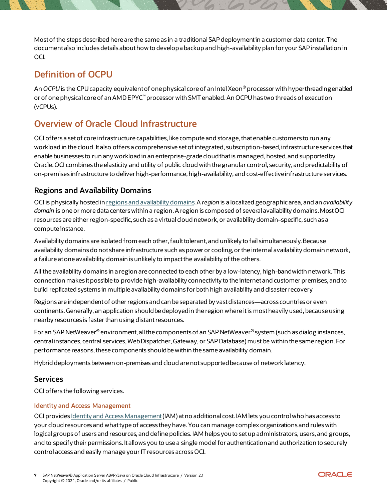Most of the steps described here are the same as in a traditional SAP deployment in a customer data center. The documentalso includes details about how to develop a backup and high-availability plan for your SAP installation in OCI.

# <span id="page-6-0"></span>**Definition of OCPU**

An *OCPU* is the CPU capacity equivalent of one physical core of an Intel Xeon® processor with hyperthreading enabled or of one physical core of an AMD EPYC™ processor with SMT enabled. An OCPU has two threads of execution (vCPUs).

# <span id="page-6-1"></span>**Overview of Oracle Cloud Infrastructure**

OCI offers a set of core infrastructure capabilities, like compute and storage, that enable customers to run any workload in the cloud. It also offers a comprehensive set of integrated, subscription-based, infrastructure services that enable businesses to run any workload in an enterprise-grade cloud that is managed, hosted, and supported by Oracle. OCI combines the elasticity and utility of public cloud with the granular control, security, and predictability of on-premises infrastructure to deliver high-performance,high-availability, and cost-effective infrastructure services.

### <span id="page-6-2"></span>**Regions and Availability Domains**

OCI is physically hosted i[n regions and availability domains](https://docs.oracle.com/iaas/Content/General/Concepts/regions.htm). A *region* is a localized geographic area, and an *availability domain* is one or more data centers within a region. A region is composed of several availability domains. Most OCI resources are either region-specific, such as a virtual cloud network, or availability domain–specific, such as a compute instance.

Availability domains are isolated from each other, fault tolerant, and unlikely to fail simultaneously. Because availability domains do not share infrastructure such as power or cooling, or the internal availability domain network, a failure at one availability domain is unlikely to impact the availability of the others.

All the availability domains in a region are connected to each other by a low-latency, high-bandwidth network. This connection makes it possible to provide high-availability connectivity to the internet and customer premises, and to build replicated systems in multiple availability domains for both high availability and disaster recovery

Regions are independent of other regions and can be separated by vast distances—across countries or even continents. Generally, an application should be deployed in the region where it is most heavily used, because using nearby resources is faster than using distant resources.

For an SAP NetWeaver® environment, all the components of an SAP NetWeaver® system (such as dialog instances, central instances, central services, Web Dispatcher, Gateway,or SAP Database) must be within the same region. For performance reasons, these components should be within the same availability domain.

Hybrid deployments between on-premises and cloud are not supported because of network latency.

### <span id="page-6-3"></span>**Services**

OCI offers the following services.

### **Identity and Access Management**

OCI provide[s Identity and Access Management](https://docs.oracle.com/iaas/Content/Identity/Concepts/overview.htm)(IAM) at no additional cost. IAM lets you control who has access to your cloud resources and what type of access they have. You can manage complex organizations and rules with logical groups of users and resources, and define policies. IAM helps you to set up administrators, users, and groups, and to specify their permissions. It allows you to use a single model for authentication and authorization to securely control access and easily manage your IT resources across OCI.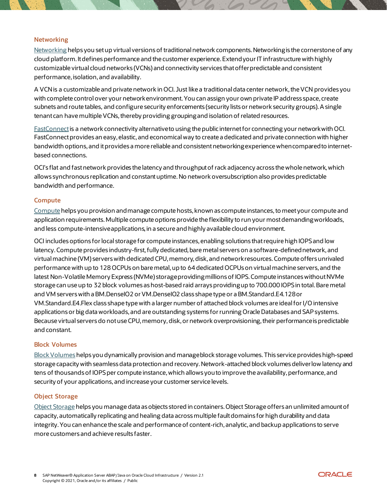#### **Networking**

[Networking](https://docs.oracle.com/iaas/Content/Network/Concepts/overview.htm) helps you set up virtual versions of traditional network components.Networking is the cornerstone of any cloud platform. It defines performance and the customer experience. Extend your IT infrastructure with highly customizable virtual cloud networks (VCNs) and connectivity services that offer predictable and consistent performance, isolation, and availability.

A VCN is a customizable and private network in OCI. Just like a traditional data center network, the VCN provides you with complete control over your network environment. You can assign your own private IP address space, create subnets and route tables, and configure security enforcements (security lists or network security groups). A single tenant can have multiple VCNs, thereby providing grouping and isolation of related resources.

F[astConnect](https://docs.oracle.com/iaas/Content/Network/Concepts/fastconnect.htm)is a network connectivity alternative to using the public internet for connecting your network with OCI. FastConnect provides an easy, elastic, and economical way to create a dedicated and private connection with higher bandwidth options, and it provides a more reliable and consistent networking experience when compared to internetbased connections.

OCI's flat and fast network provides the latency and throughput of rack adjacency across the whole network, which allows synchronous replication and constant uptime. No network oversubscription also provides predictable bandwidth and performance.

#### **Compute**

[Compute](https://docs.oracle.com/iaas/Content/Compute/Concepts/computeoverview.htm) helps you provision and manage compute hosts, known as compute instances, to meet your compute and application requirements.Multiple compute options provide the flexibility to run your most demanding workloads, and less compute-intensive applications, in a secure and highly available cloud environment.

OCI includes options for local storage for compute instances, enabling solutions that require high IOPS and low latency. Compute provides industry-first, fully dedicated, bare metal servers on a software-defined network, and virtual machine (VM) servers with dedicated CPU, memory, disk, and network resources. Compute offers unrivaled performance with up to 128 OCPUs on bare metal, up to 64 dedicated OCPUs on virtual machine servers, and the latest Non-Volatile Memory Express (NVMe) storage providing millions of IOPS. Compute instances without NVMe storage can use up to 32 block volumes as host-based raid arrays providing up to 700.000 IOPS in total. Bare metal and VM servers with a BM.DenseIO2 or VM.DenseIO2 class shape type or a BM.Standard.E4.128or VM.Standard.E4.Flex class shape type with a larger number of attached block volumes are ideal for I/O intensive applications or big data workloads, and are outstanding systems for running Oracle Databases and SAP systems. Because virtual servers do not use CPU, memory, disk, or network overprovisioning, their performance is predictable and constant.

#### **Block Volumes**

[Block Volumes](https://docs.oracle.com/iaas/Content/Block/Concepts/overview.htm) helps you dynamically provision and manage block storage volumes. This service provides high-speed storage capacity with seamless data protection and recovery. Network-attached block volumes deliver low latency and tens of thousands of IOPS per compute instance, which allows you to improve the availability, performance, and security of your applications, and increase your customer service levels.

#### **Object Storage**

[Object Storage](https://docs.oracle.com/iaas/Content/Object/home.htm) helps you manage data as objects stored in containers.Object Storage offers an unlimited amount of capacity, automatically replicating and healing data across multiple fault domains for high durability and data integrity. You can enhance the scale and performance of content-rich, analytic, and backup applications to serve more customers and achieve results faster.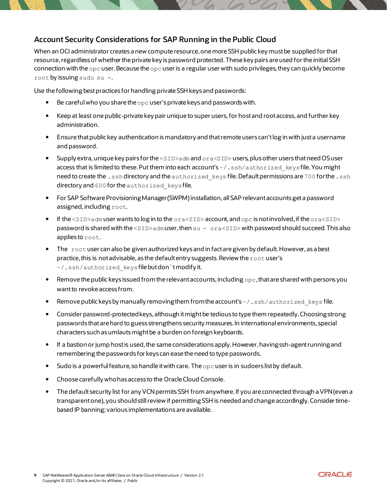### <span id="page-8-0"></span>**Account Security Considerations for SAP Running in the Public Cloud**

When an OCI administrator creates a new compute resource, one more SSH public key must be supplied for that resource, regardless of whether the private key is password protected.These key pairs are used for the initial SSH connection with the  $\rm{opc}$  user. Because the  $\rm{opc}$  user is a regular user with sudo privileges, they can quickly become root by issuing sudo su -.

Use the following best practices for handling private SSH keys and passwords:

- Be careful who you share the opc user's private keys and passwords with.
- Keep at least one public-private key pair unique to super users, for host and root access, and further key administration.
- Ensure that public key authentication is mandatory and that remote users can't log in with just a username and password.
- Supply extra, unique key pairs for the  $\langle \text{SID} \rangle$  adm and  $\text{or}$  as  $\langle \text{SID} \rangle$  users, plus other users that need OS user access that is limited to these. Put them into each account's  $\sim$  /. ssh/authorized keys file. You might need to create the .ssh directory and the authorized keys file. Default permissions are 700 for the .ssh directory and 600 for the authorized keysfile.
- For SAP Software Provisioning Manager (SWPM)installation, all SAP relevant accounts get a password assigned, including root.
- If the <SID>adm user wants to log in to the ora<SID> account, and opc is not involved, if the ora<SID> password is shared with the <SID>admuser,then su - ora<SID> with password should succeed. This also applies to root.
- The root user can also be given authorized keys and in fact are given by default. However, as a best practice, this is not advisable, as the default entry suggests. Review the  $\text{root}$  user's ~/.ssh/authorized\_keysfile but don´t modify it.
- **•** Remove the public keys issued from the relevant accounts, including  $\circ pc$ , that are shared with persons you want to revoke access from.
- Remove public keys by manually removing them from the account's ~/. ssh/authorized keys file.
- Consider password-protected keys, although it might be tedious to type them repeatedly. Choosing strong passwords that are hard to guess strengthens security measures. In international environments, special characters such as umlautsmight be a burden on foreign keyboards.
- If a bastion orjump host is used, the same considerations apply. However, having ssh-agent running and remembering the passwords for keys can ease the need to type passwords.
- $\bullet$  Sudo is a powerful feature, so handle it with care. The  $_{\text{OPC}}$  user is in sudoers list by default.
- Choose carefully who has access to the Oracle Cloud Console.
- The default security list for any VCN permits SSH from anywhere. If you are connected through aVPN (even a transparent one), you should still review if permitting SSH is needed and change accordingly. Consider timebased IP banning; various implementations are available.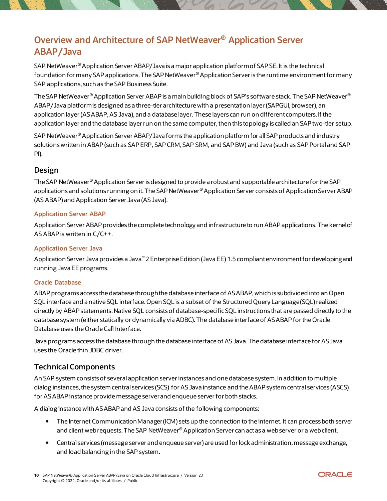# <span id="page-9-0"></span>**Overview and Architecture of SAP NetWeaver® Application Server ABAP/Java**

SAP NetWeaver® Application Server ABAP/Java is a major application platform of SAP SE. It is the technical foundation for many SAP applications. The SAP NetWeaver® Application Server is the runtime environment for many SAP applications, such as the SAP Business Suite.

The SAP NetWeaver® Application Server ABAP is a main building block of SAP's software stack. The SAP NetWeaver® ABAP/Java platform is designed as a three-tier architecture with a presentation layer (SAPGUI, browser), an application layer (AS ABAP, AS Java), and a database layer. These layers can run on different computers. If the application layer and the database layer run on the same computer, then this topology is called an SAP two-tier setup.

SAP NetWeaver® Application Server ABAP/Java forms the application platform for all SAP products and industry solutions written in ABAP (such as SAP ERP, SAP CRM, SAP SRM, and SAP BW) and Java (such as SAP Portal and SAP PI).

### <span id="page-9-1"></span>**Design**

The SAP NetWeaver® Application Server is designed to provide a robust and supportable architecture for the SAP applications and solutions running on it. The SAP NetWeaver® Application Server consists of Application Server ABAP (AS ABAP) and Application Server Java (AS Java).

### **Application Server ABAP**

Application Server ABAP provides the complete technology and infrastructure to run ABAP applications. The kernel of AS ABAP is written in C/C++.

### **Application Server Java**

Application Server Java provides a Java™ 2 Enterprise Edition (Java EE) 1.5 compliant environment for developing and running Java EE programs.

### **Oracle Database**

ABAP programs access the database through the database interface of AS ABAP, which is subdivided into an Open SQL interface and a native SQL interface. Open SQL is a subset of the Structured Query Language (SQL) realized directly by ABAP statements. Native SQL consists of database-specific SQL instructions that are passed directly to the database system (either statically or dynamically via ADBC). The database interface of AS ABAP for the Oracle Database uses the Oracle Call Interface.

Java programs access the database through the database interface of AS Java. The database interface for AS Java uses the Oracle thin JDBC driver.

### <span id="page-9-2"></span>**Technical Components**

An SAP system consists of several application server instances and one database system. In addition to multiple dialog instances, the system central services (SCS) for AS Java instance and the ABAP system central services (ASCS) for AS ABAP instance provide message server and enqueue server for both stacks.

A dialog instance with AS ABAP and AS Java consists of the following components:

- The Internet Communication Manager (ICM) sets up the connection to the internet. It can process both server and client web requests. The SAP NetWeaver® Application Server can act as a web server or a web client.
- Central services (message server and enqueue server) are used for lock administration, message exchange, and load balancing in the SAP system.

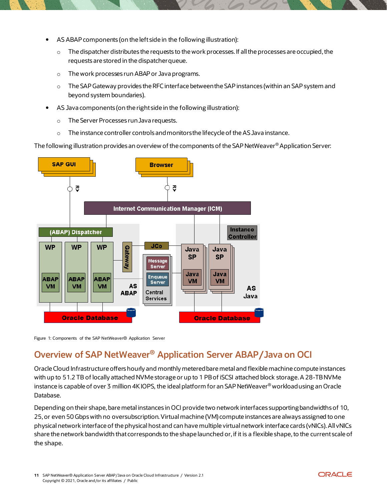- AS ABAP components (on the left side in the following illustration):
	- $\circ$  The dispatcher distributes the requests to the work processes. If all the processes are occupied, the requests are stored in the dispatcher queue.
	- o The work processes run ABAP or Java programs.
	- o The SAP Gateway provides the RFC interface between the SAP instances (within an SAP system and beyond system boundaries).
- AS Java components (on the right side in the following illustration):
	- o The Server Processes runJava requests.
	- $\circ$  The instance controller controls and monitors the lifecycle of the AS Java instance.

The following illustration provides an overview of the components of the SAP NetWeaver® Application Server:



Figure 1: Components of the SAP NetWeaver® Application Server

# <span id="page-10-0"></span>**Overview of SAP NetWeaver® Application Server ABAP/Java on OCI**

Oracle Cloud Infrastructure offers hourly and monthly metered bare metal and flexible machine compute instances with up to 51.2 TB of locally attached NVMe storage or up to 1 PBof iSCSI attached block storage.A 28-TB NVMe instance is capable of over 3 million 4K IOPS, the ideal platform for an SAP NetWeaver® workload using an Oracle Database.

Depending on their shape, bare metal instances in OCI provide two network interfaces supporting bandwidths of 10, 25,or even 50 Gbps with no oversubscription. Virtual machine (VM) compute instances are always assigned to one physical network interface of the physical host and can have multiple virtual network interface cards (vNICs). All vNICs share the network bandwidth that corresponds to the shape launched or, if it is a flexible shape, to the current scale of the shape.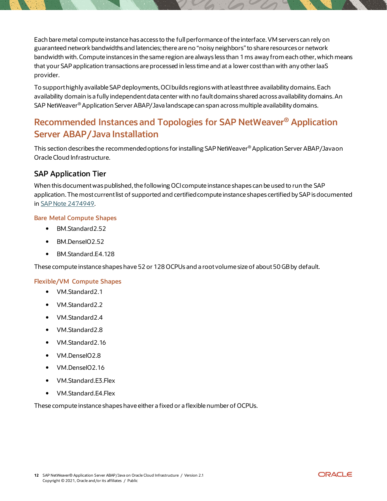Each bare metal compute instance has access to the full performance of the interface. VM servers can rely on guaranteed network bandwidths and latencies; there are no "noisy neighbors" to share resources or network bandwidth with. Compute instances in the same region are always less than 1 ms away from each other, which means that your SAP application transactions are processed in less time and at a lower cost than with any other IaaS provider.

To support highly available SAP deployments, OCIbuilds regions with at least three availability domains. Each availability domain is a fully independent data center with no fault domains shared across availability domains. An SAP NetWeaver® Application Server ABAP/Java landscape can span across multiple availability domains.

# <span id="page-11-0"></span>**Recommended Instances and Topologies for SAP NetWeaver® Application Server ABAP/Java Installation**

This section describes the recommended options for installing SAP NetWeaver® Application Server ABAP/Javaon Oracle Cloud Infrastructure.

### <span id="page-11-1"></span>**SAP Application Tier**

When this document was published, the following OCI compute instance shapes can be used to run the SAP application. The most current list of supported and certified compute instance shapes certified by SAP is documented in [SAP Note 2474949](https://launchpad.support.sap.com/#/notes/2474949).

### **Bare Metal Compute Shapes**

- BM.Standard2.52
- BM.DenseIO2.52
- BM.Standard.E4.128

These compute instance shapes have 52 or 128 OCPUs and a root volume size of about 50 GB by default.

#### **Flexible/VM Compute Shapes**

- VM.Standard2.1
- VM.Standard2.2
- VM.Standard2.4
- VM.Standard2.8
- VM.Standard2.16
- VM.DenseIO2.8
- VM.DenseIO2.16
- VM.Standard.E3.Flex
- VM.Standard.E4.Flex

<span id="page-11-2"></span>These compute instance shapes have either a fixed or a flexible number of OCPUs.

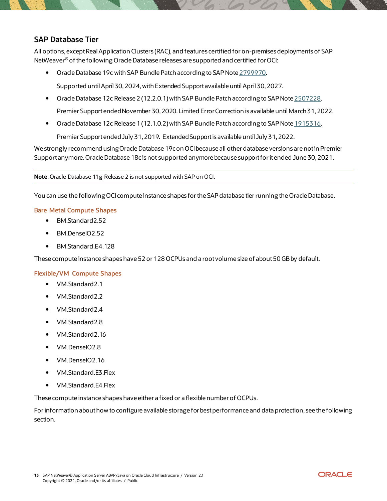### **SAP Database Tier**

All options, except Real Application Clusters (RAC), and features certified for on-premises deployments of SAP NetWeaver® of the following Oracle Database releases are supported and certified for OCI:

• Oracle Database 19c with SAP Bundle Patch according to SAP Note [2799970.](https://launchpad.support.sap.com/#/notes/2799970)

Supported until April 30, 2024, with Extended Support available until April 30, 2027.

- Oracle Database 12c Release 2 (12.2.0.1)with SAP Bundle Patch according to SAP Note [2507228.](https://launchpad.support.sap.com/#/notes/2507228) Premier Support ended November 30, 2020. Limited Error Correction is available until March 31, 2022.
- Oracle Database 12c Release 1 (12.1.0.2) with SAP Bundle Patch according to SAP Not[e 1915316.](https://launchpad.support.sap.com/#/notes/1915316)

Premier Support ended July 31, 2019. Extended Support is available until July 31, 2022.

We strongly recommend using Oracle Database 19c on OCI because all other database versions are not in Premier Support anymore. Oracle Database 18c is not supported anymore because support for itended June 30, 2021.

**Note**: Oracle Database 11g Release 2 is not supported with SAP on OCI.

You can use the following OCI compute instance shapes for the SAP database tier running the Oracle Database.

#### **Bare Metal Compute Shapes**

- BM.Standard2.52
- BM.DenseIO2.52
- BM.Standard.E4.128

These compute instance shapes have 52 or 128 OCPUs and a root volume size of about 50 GB by default.

#### **Flexible/VM Compute Shapes**

- VM.Standard2.1
- VM.Standard2.2
- VM.Standard2.4
- VM.Standard2.8
- VM.Standard2.16
- VM.DenseIO2.8
- VM.DenseIO2.16
- VM.Standard.E3.Flex
- VM.Standard.E4.Flex

These compute instance shapes have either a fixed or a flexible number of OCPUs.

For information about how to configure available storage for best performance and data protection, see the following section.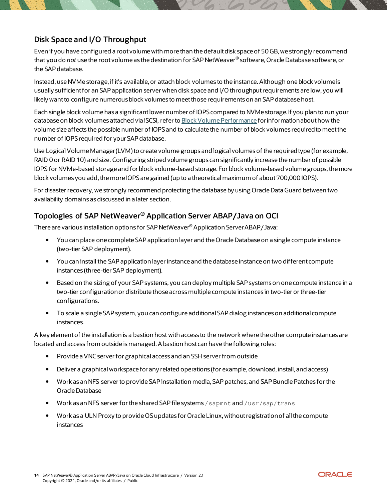## <span id="page-13-0"></span>**Disk Space and I/O Throughput**

Even if you have configured a root volume with more than the default disk space of 50GB, we strongly recommend that you do *not* use the root volume as the destination for SAP NetWeaver® software, Oracle Database software, or the SAP database.

Instead, use NVMe storage, if it's available, or attach block volumes to the instance. Although one block volume is usually sufficient for an SAP application server when disk space and I/O throughput requirements are low, you will likely want to configure numerous block volumes to meet those requirements on an SAP database host.

Each single block volume has a significant lower number of IOPS compared to NVMe storage. If you plan to run your database on block volumes attached via iSCSI, refer t[o Block Volume Performance](https://docs.oracle.com/iaas/Content/Block/Concepts/blockvolumeperformance.htm#Block_Volume_Performance) for information about how the volume size affects the possible number of IOPS and to calculate the number of block volumes required to meet the number of IOPS required for your SAP database.

Use LogicalVolume Manager (LVM) to create volume groups and logical volumes of the required type (for example, RAID 0 or RAID 10) and size. Configuring striped volume groups can significantly increase the number of possible IOPS for NVMe-based storage and for block volume-based storage. For block volume-based volume groups, the more block volumes you add, the more IOPS are gained (up to a theoretical maximum of about 700,000 IOPS).

For disaster recovery,we strongly recommend protecting the database by using Oracle Data Guard between two availability domains as discussed in a later section.

### <span id="page-13-1"></span>**Topologies of SAP NetWeaver® Application Server ABAP/Java on OCI**

There are various installation options for SAP NetWeaver® Application Server ABAP/Java:

- You can place one complete SAP application layer and the Oracle Database on a single compute instance (two-tier SAP deployment).
- You can install the SAP application layer instance and the database instance on two different compute instances (three-tier SAP deployment).
- Based on the sizing of your SAP systems, you can deploy multiple SAP systems on one compute instance in a two-tier configuration or distribute those across multiple compute instances in two-tier or three-tier configurations.
- To scale a single SAP system, you can configure additional SAP dialog instances on additional compute instances.

A key element of the installation is a bastion host with access to the network where the other compute instances are located and access from outside is managed. A bastion host can have the following roles:

- Provide a VNC server for graphical access and an SSH server from outside
- Deliver a graphical workspace for any related operations (for example, download, install, and access)
- Work as an NFS server to provide SAP installation media, SAP patches, and SAP Bundle Patches for the Oracle Database
- Work as an NFS server for the shared SAP file systems / sapmnt and /usr/sap/trans
- Work as a ULN Proxy to provide OSupdates for Oracle Linux, without registration of all the compute instances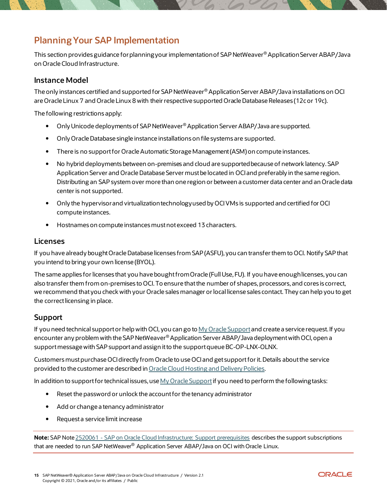# <span id="page-14-0"></span>**Planning Your SAP Implementation**

This section provides guidance for planning your implementation of SAP NetWeaver® Application Server ABAP/Java on Oracle Cloud Infrastructure.

### <span id="page-14-1"></span>**Instance Model**

The only instances certified and supported for SAP NetWeaver® Application Server ABAP/Java installations on OCI are Oracle Linux 7 and Oracle Linux 8 with their respective supported Oracle Database Releases (12c or 19c).

The following restrictions apply:

- Only Unicode deployments of SAP NetWeaver® Application Server ABAP/Java are supported.
- Only Oracle Database single instance installations on file systems are supported.
- There is no support for Oracle Automatic Storage Management (ASM) on compute instances.
- No hybrid deployments between on-premises and cloud are supported because of network latency. SAP Application Server and Oracle Database Server must be located in OCIand preferably in the same region. Distributing an SAP system over more than one region or between a customer data center and an Oracle data center is not supported.
- Only the hypervisor and virtualization technology used by OCI VMs is supported and certified for OCI compute instances.
- Hostnames on compute instances must not exceed 13 characters.

#### <span id="page-14-2"></span>**Licenses**

If you have already bought Oracle Database licenses from SAP (ASFU), you can transfer them to OCI. Notify SAP that you intend to bring your own license (BYOL).

The same applies for licenses that you have bought from Oracle (Full Use, FU). If you have enough licenses, you can also transfer them from on-premises to OCI. To ensure that the number of shapes, processors, and cores is correct, we recommend that you check with your Oracle sales manager or local license sales contact. They can help you to get the correct licensing in place.

### <span id="page-14-3"></span>**Support**

If you need technical support or help with OCI, you can go t[o My Oracle Support](http://support.oracle.com/) and create a service request. If you encounter any problem with the SAP NetWeaver® Application Server ABAP/Java deployment with OCI, open a support message with SAP support and assign it to the support queue BC-OP-LNX-OLNX.

Customersmustpurchase OCIdirectly from Oracle to use OCIand get support for it. Details aboutthe service provided to the customer are described in [Oracle Cloud Hosting and Delivery Policies](http://www.oracle.com/us/corporate/contracts/ocloud-hosting-delivery-policies-3089853.pdf).

In addition to support for technical issues, us[e My Oracle Support](http://support.oracle.com/)if you need to perform the following tasks:

- Reset the password or unlock the account for the tenancy administrator
- Add or change a tenancy administrator
- Request a service limit increase

**Note:** SAP Note 2520061 - [SAP on Oracle Cloud Infrastructure: Support prerequisi](https://launchpad.support.sap.com/#/notes/)tes describes the support subscriptions that are needed to run SAP NetWeaver® Application Server ABAP/Java on OCI with Oracle Linux.

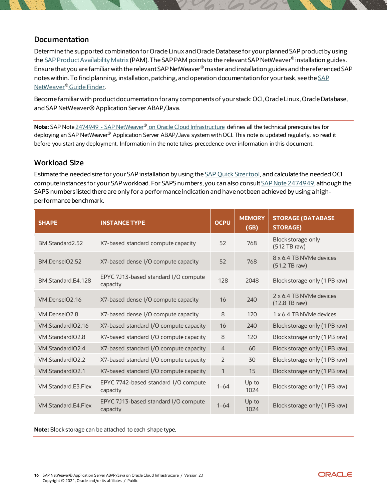### <span id="page-15-0"></span>**Documentation**

Determine the supported combination for Oracle Linux and Oracle Database for your planned SAP product by using th[e SAP Product Availability Matrix](https://apps.support.sap.com/sap/support/pam) (PAM). The SAP PAM points to the relevant SAP NetWeaver® installation guides. Ensure that you are familiar with the relevant SAP NetWeaver® master and installation guides and the referenced SAP notes within. To find planning, installation, patching, and operation documentation for your task, see the [SAP](https://cp.hana.ondemand.com/dps/d/preview/ec5624d5073d4c949b42bf284742748d/1.0/en-US/frameset.htm?576f5c1808de4d1abecbd6e503c9ba42.html)  [NetWeaver®](https://cp.hana.ondemand.com/dps/d/preview/ec5624d5073d4c949b42bf284742748d/1.0/en-US/frameset.htm?576f5c1808de4d1abecbd6e503c9ba42.html) Guide Finder.

Become familiar with product documentation for any components of your stack: OCI, Oracle Linux, Oracle Database, and SAP NetWeaver® Application Server ABAP/Java.

**Note:** SAP Note 2474949 - SAP NetWeaver® [on Oracle Cloud Infrastructure](https://launchpad.support.sap.com/#/notes/2474949) defines all the technical prerequisites for deploying an SAP NetWeaver® Application Server ABAP/Java system with OCI. This note is updated regularly, so read it before you start any deployment. Information in the note takes precedence over information in this document.

### <span id="page-15-1"></span>**Workload Size**

Estimate the needed size for your SAP installation by using th[e SAP Quick Sizer tool,](http://sap.com/sizing) and calculate the needed OCI compute instances for your SAP workload. For SAPS numbers, you can also consul[t SAP Note 2474949](https://launchpad.support.sap.com/#/notes/2474949), although the SAPS numbers listed there are only for a performance indication and have not been achieved by using a highperformance benchmark.

| <b>SHAPE</b>              | <b>INSTANCE TYPE</b>                             | <b>OCPU</b>    | <b>MEMORY</b><br>(GB) | <b>STORAGE (DATABASE</b><br><b>STORAGE)</b> |
|---------------------------|--------------------------------------------------|----------------|-----------------------|---------------------------------------------|
| BM.Standard2.52           | X7-based standard compute capacity               | 52             | 768                   | Block storage only<br>$(512)$ TB raw)       |
| BM.DenselO2.52            | X7-based dense I/O compute capacity              | 52             | 768                   | 8 x 6.4 TB NVMe devices<br>(51.2 TB raw)    |
| BM.Standard.E4.128        | EPYC 7J13-based standard I/O compute<br>capacity | 128            | 2048                  | Block storage only (1 PB raw)               |
| VM.DenselO2.16            | X7-based dense I/O compute capacity              | 16             | 240                   | 2 x 6.4 TB NVMe devices<br>$(12.8$ TB raw)  |
| VM.DenselO <sub>2.8</sub> | X7-based dense I/O compute capacity              | 8              | 120                   | 1 x 6.4 TB NVMe devices                     |
| VM.StandardIO2.16         | X7-based standard I/O compute capacity           | 16             | 240                   | Block storage only (1 PB raw)               |
| VM.StandardIO2.8          | X7-based standard I/O compute capacity           | 8              | 120                   | Block storage only (1 PB raw)               |
| VM.StandardIO2.4          | X7-based standard I/O compute capacity           | $\overline{4}$ | 60                    | Block storage only (1 PB raw)               |
| VM.StandardIO2.2          | X7-based standard I/O compute capacity           | 2              | 30                    | Block storage only (1 PB raw)               |
| VM.StandardIO2.1          | X7-based standard I/O compute capacity           | $\mathbf{1}$   | 15                    | Block storage only (1 PB raw)               |
| VM.Standard.E3.Flex       | EPYC 7742-based standard I/O compute<br>capacity | $1 - 64$       | Up to<br>1024         | Block storage only (1 PB raw)               |
| VM.Standard.E4.Flex       | EPYC 7J13-based standard I/O compute<br>capacity | $1 - 64$       | Up to<br>1024         | Block storage only (1 PB raw)               |

<span id="page-15-2"></span>**Note:** Block storage can be attached to each shape type.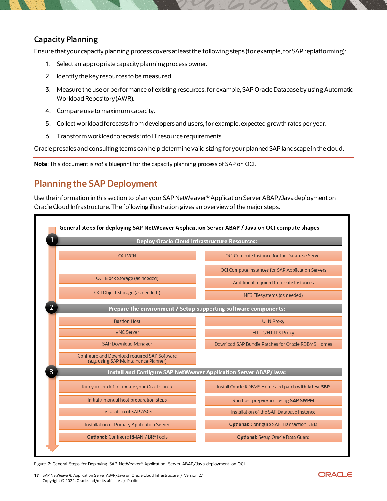### **Capacity Planning**

Ensure thatyour capacity planning process covers at least the following steps (for example,for SAP replatforming):

- 1. Select an appropriate capacity planning process owner.
- 2. Identify the key resources to be measured.
- 3. Measure the use or performance of existing resources, for example,SAP Oracle Database by using Automatic Workload Repository (AWR).
- 4. Compare use to maximum capacity.
- 5. Collect workload forecasts from developers and users, for example, expected growth rates per year.
- 6. Transform workload forecasts into IT resource requirements.

Oracle presales and consulting teams can help determine valid sizing for your planned SAP landscape in the cloud.

**Note**: This document is *not* a blueprint for the capacity planning process of SAP on OCI.

# <span id="page-16-0"></span>**Planning the SAP Deployment**

Use the information in this section to plan your SAP NetWeaver® Application Server ABAP/Java deployment on Oracle Cloud Infrastructure. The following illustration gives an overview of the major steps.



Figure 2: General Steps for Deploying SAP NetWeaver® Application Server ABAP/Java deployment on OCI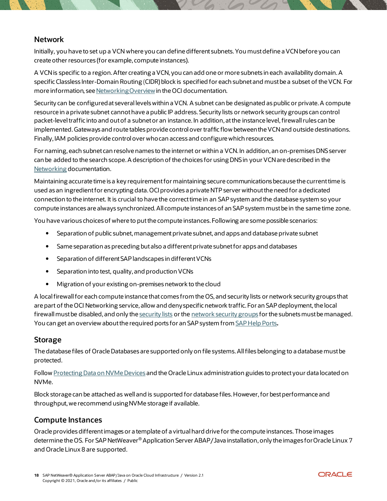### <span id="page-17-0"></span>**Network**

Initially, you have to set up a VCN where you can define different subnets. You must define a VCN before you can create other resources (for example, compute instances).

A VCN is specific to a region. After creating a VCN, you can add one or more subnets in each availability domain. A specific Classless Inter-Domain Routing (CIDR) block is specified for each subnet and must be a subset of the VCN. For more information, se[e Networking Overview](https://docs.oracle.com/iaas/Content/Network/Concepts/overview.htm) in the OCI documentation.

Security can be configured at several levels within a VCN. A subnet can be designated as public or private. A compute resource in a private subnet cannot have a public IP address. Security lists or network security groups can control packet-level traffic into and out of a subnet or an instance. In addition, at the instance level, firewall rules can be implemented. Gateways and route tables provide control over traffic flow between the VCN and outside destinations. Finally, IAM policies provide control over who can access and configure which resources.

For naming, each subnet can resolve names to the internet or within a VCN. In addition, an on-premises DNS server can be added to the search scope. A description of the choices for using DNS in your VCN are described in the [Networking](https://docs.oracle.com/iaas/Content/Network/Concepts/dns.htm) documentation.

Maintaining accurate time is a key requirement for maintaining secure communications because the current time is used as an ingredient for encrypting data. OCIprovides a private NTP server without the need for a dedicated connection to the internet. It is crucial to have the correct time in an SAP system and the database system so your compute instances are always synchronized. All compute instances of an SAP system must be in the same time zone.

You have various choices of where to put the compute instances. Following are some possible scenarios:

- Separation of public subnet, management private subnet, and apps and database private subnet
- Same separation as preceding but also a different private subnet for apps and databases
- Separation of different SAP landscapes in different VCNs
- Separation into test, quality, and production VCNs
- Migration of your existing on-premises network to the cloud

A local firewall for each compute instance that comes from the OS, and security lists or network security groups that are part of the OCI Networking service, allow and deny specific network traffic. For an SAP deployment, the local firewall must be disabled, and only th[e security lists](https://docs.oracle.com/iaas/Content/Network/Concepts/securitylists.htm) or the [network security groups](https://docs.oracle.com/iaas/Content/Network/Concepts/networksecuritygroups.htm) for the subnets must be managed. You can get an overview about the required ports for an SAP system fro[m SAP Help Ports](https://help.sap.com/viewer/ports)**.**

### <span id="page-17-1"></span>**Storage**

The database files of Oracle Databases are supported only on file systems.All files belonging to a database mustbe protected.

Follo[w Protecting Data on NVMe Devices](https://docs.us-phoenix-1.oraclecloud.com/Content/Compute/References/nvmedeviceinformation.htm) and the Oracle Linux administration guides to protect your data located on NVMe.

Block storage can be attached as well and is supported for database files. However, for best performance and throughput, we recommend using NVMe storage if available.

### <span id="page-17-2"></span>**Compute Instances**

Oracle provides different images or a template of a virtual hard drive for the compute instances. Those images determine the OS. For SAP NetWeaver® Application Server ABAP/Java installation, only the images for Oracle Linux 7 and Oracle Linux 8 are supported.

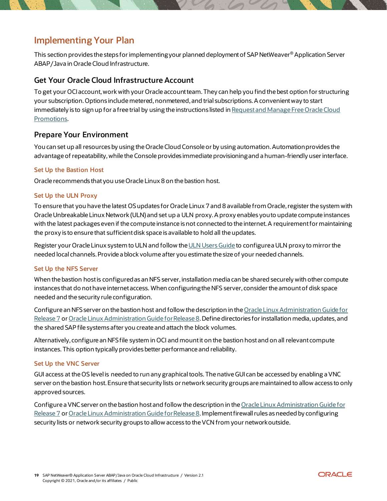# <span id="page-18-0"></span>**Implementing Your Plan**

This section provides the steps for implementing your planned deployment of SAP NetWeaver® Application Server ABAP/Java in Oracle Cloud Infrastructure.

### <span id="page-18-1"></span>**Get Your Oracle Cloud Infrastructure Account**

To get your OCIaccount, work with your Oracle account team. They can help you find the best option for structuring your subscription. Options include metered, nonmetered, and trial subscriptions. A convenient way to start immediately is to sign up for a free trial by using the instructions listed in [Request and Manage Free Oracle Cloud](https://docs.oracle.com/iaas/Content/GSG/Tasks/signingup.htm)  [Promotions](https://docs.oracle.com/iaas/Content/GSG/Tasks/signingup.htm).

### <span id="page-18-2"></span>**Prepare Your Environment**

You can set up all resources by using the Oracle Cloud Console or by using automation. Automation provides the advantage of repeatability, while the Console provides immediate provisioning and a human-friendly user interface.

#### **Set Up the Bastion Host**

Oracle recommends that you use Oracle Linux 8 on the bastion host.

#### **Set Up the ULN Proxy**

To ensure that you have the latest OSupdates for Oracle Linux 7 and 8 available from Oracle, register the system with Oracle Unbreakable Linux Network (ULN) and set up a ULN proxy. A proxy enables you to update compute instances with the latest packages even if the compute instance is not connected to the internet. A requirement for maintaining the proxy is to ensure that sufficient disk space is available to hold all the updates.

Register your Oracle Linux system to ULN and follow th[e ULN Users Guide](http://docs.oracle.com/cd/E52668_01/E39381/html/) to configure a ULN proxy to mirror the needed local channels. Provide a block volume after you estimate the size of your needed channels.

#### **Set Up the NFS Server**

When the bastion host is configured as an NFS server, installation media can be shared securely with other compute instances that do not have internet access. When configuring the NFS server, consider the amount of disk space needed and the security rule configuration.

Configure an NFS server on the bastion host and follow the description in the Oracle Linux Administration Guide for [Release 7](https://docs.oracle.com/en/operating-systems/oracle-linux/7/index.html) o[r Oracle Linux Administration Guid](https://docs.oracle.com/en/operating-systems/oracle-linux/8/index.html)e for Release 8. Define directories for installation media, updates, and the shared SAP file systems after you create and attach the block volumes.

Alternatively, configure an NFS file system in OCI and mount it on the bastion host and on all relevant compute instances. This option typically provides better performance and reliability.

#### **Set Up the VNC Server**

GUI access at the OS level is needed to run any graphical tools. The native GUI can be accessed by enabling a VNC server on the bastion host. Ensure that security lists or network security groups are maintained to allow access to only approved sources.

Configure a VNC server on the bastion host and follow the description in th[e Oracle Linux Administration Guide for](https://docs.oracle.com/en/operating-systems/oracle-linux/7/index.html)  [Release 7](https://docs.oracle.com/en/operating-systems/oracle-linux/7/index.html) or [Oracle Linux Administration Guide for Release 8.](https://docs.oracle.com/en/operating-systems/oracle-linux/8/index.html) Implement firewall rules as needed by configuring security lists or network security groups to allow access to the VCN from your network outside.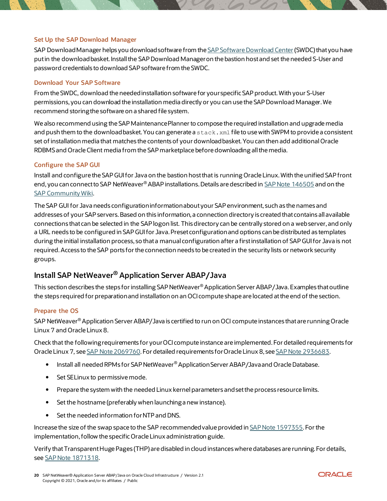#### **Set Up the SAP Download Manager**

SAP Download Manager helps you download software from the [SAP Software Download Center](https://support.sap.com/swdc) (SWDC) that you have put in the download basket. Install the SAP Download Manager on the bastion host and set the needed S-User and password credentials to download SAP software from the SWDC.

#### **Download Your SAP Software**

From the SWDC, download the needed installation software for your specific SAP product. With your S-User permissions, you can download the installation media directly or you can use the SAP Download Manager. We recommend storing the software on a shared file system.

We also recommend using the SAP Maintenance Planner to compose the required installation and upgrade media and push them to the download basket. You can generate a stack. xml file to use with SWPM to provide a consistent set of installation media that matches the contents of your download basket. You can then add additional Oracle RDBMS and Oracle Client media from the SAP marketplace before downloading all the media.

#### **Configure the SAP GUI**

Install and configure the SAP GUI for Java on the bastion host that is running Oracle Linux. With the unified SAP front end, you can connect to SAP NetWeaver® ABAP installations. Details are described i[n SAP Note 146505](https://launchpad.support.sap.com/#/notes/146505) and on the [SAP Community Wiki](https://scn.sap.com/docs/DOC-25456#section13).

The SAP GUI for Java needs configuration information about your SAP environment, such as the names and addresses of your SAP servers. Based on this information, a connection directory is created that contains all available connections that can be selected in the SAP logon list. This directory can be centrally stored on a web server, and only a URL needs to be configured in SAP GUI for Java. Preset configuration and options can be distributed as templates during the initial installation process, so that a manual configuration after a first installation of SAP GUI for Java is not required.Access to the SAP ports for the connection needs to be created in the security lists or network security groups.

### <span id="page-19-0"></span>**Install SAP NetWeaver® Application Server ABAP/Java**

This section describes the steps for installing SAP NetWeaver® Application Server ABAP/Java. Examples that outline the steps required for preparation and installation on an OCI compute shape are located at the end of the section.

#### **Prepare the OS**

SAP NetWeaver® Application Server ABAP/Java is certified to run on OCI compute instances that are running Oracle Linux 7 and Oracle Linux 8.

Check that the following requirements for your OCI compute instance are implemented. For detailed requirements for Oracle Linux 7, see [SAP Note 2069760.](https://launchpad.support.sap.com/#/notes/2069760) For detailed requirements for Oracle Linux 8, see [SAP Note 2936683](https://launchpad.support.sap.com/#/notes/2936683).

- **Install all needed RPMs for SAP NetWeaver® Application Server ABAP/Java and Oracle Database.**
- Set SELinux to permissive mode.
- Prepare the system with the needed Linux kernel parameters and set the process resource limits.
- Set the hostname (preferably when launching a new instance).
- Set the needed information for NTP and DNS.

Increase the size of the swap space to the SAP recommended value provided in [SAP Note 1597355](https://launchpad.support.sap.com/#/notes/1597355). For the implementation, follow the specific Oracle Linux administration guide.

Verify that Transparent Huge Pages (THP) are disabled in cloud instances where databases are running. For details, see [SAP Note 1871318](https://launchpad.support.sap.com/#/notes/1871318).

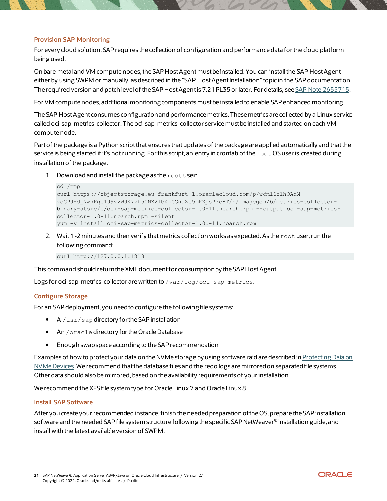#### **Provision SAP Monitoring**

For every cloud solution, SAP requires the collection of configuration and performance data for the cloud platform being used.

On bare metal and VM compute nodes, the SAP Host Agent must be installed. You can installthe SAP Host Agent either by using SWPM or manually, as described in the "SAP HostAgent Installation" topic in the SAP documentation. The required version and patch level of the SAP Host Agent is 7.21 PL35 or later. For details, see [SAP Note 2655715](https://launchpad.support.sap.com/#/notes/2655715).

For VM compute nodes, additional monitoring components must be installed to enable SAP enhanced monitoring.

The SAP Host Agent consumes configuration and performance metrics. These metrics are collected by a Linux service called oci-sap-metrics-collector. The oci-sap-metrics-collector service must be installed and started on each VM compute node.

Part of the package is a Python script that ensures that updates of the package are applied automatically and that the service is being started if it's not running. For this script, an entry in crontab of the root OS user is created during installation of the package.

1. Download and install the package as the root user:

```
cd /tmp
curl https://objectstorage.eu-frankfurt-1.oraclecloud.com/p/wdml6zlhOAnM-
xoGP9Hd_Nw7Kqo199v2W9K7xf50NX2lb4kCGnUZs5mKZpsPre8T/n/imagegen/b/metrics-collector-
binary-store/o/oci-sap-metrics-collector-1.0-11.noarch.rpm --output oci-sap-metrics-
collector-1.0-11.noarch.rpm –silent
yum -y install oci-sap-metrics-collector-1.0.-11.noarch.rpm
```
2. Wait 1-2 minutes and then verify that metrics collection works as expected. As the root user, run the following command:

curl http://127.0.0.1:18181

This command should return the XML document for consumption by the SAP Host Agent.

Logs for oci-sap-metrics-collector are written to /var/log/oci-sap-metrics.

#### **Configure Storage**

For an SAP deployment, you need to configure the following file systems:

- A /usr/sap directory for the SAP installation
- An /oracle directory for the Oracle Database
- Enough swap space according to the SAP recommendation

Examples of how to protect your data on the NVMe storage by using software raid are described in [Protecting Data on](https://docs.oracle.com/iaas/Content/Compute/References/nvmedeviceinformation.htm)  [NVMe Devices.](https://docs.oracle.com/iaas/Content/Compute/References/nvmedeviceinformation.htm) We recommend that the database files and the redo logs are mirrored on separated file systems. Other data should also be mirrored, based on the availability requirements of your installation.

We recommend the XFS file system type for Oracle Linux 7 and Oracle Linux 8.

#### **Install SAP Software**

After you create your recommended instance, finish the needed preparation of the OS, prepare the SAP installation software and the needed SAP file system structure following the specific SAP NetWeaver® installation guide, and install with the latest available version of SWPM.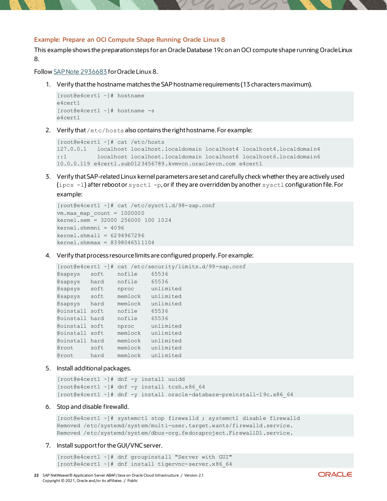#### **Example: Prepare an OCI Compute Shape Running Oracle Linux 8**

This example shows the preparation steps for an Oracle Database 19c on an OCI compute shape running Oracle Linux 8.

Follo[w SAP Note 2936683](https://launchpad.support.sap.com/#/notes/2936683) for Oracle Linux 8.

1. Verify that the hostname matches the SAP hostname requirements (13 charactersmaximum).

```
[root@e4cert1 ~]# hostname
e4cert1
[root@e4cert1 ~]# hostname -s
e4cert1
```
2. Verify that  $/etc/host$ s also contains the right hostname. For example:

```
[root@e4cert1 ~]# cat /etc/hosts
127.0.0.1 localhost localhost.localdomain localhost4 localhost4.localdomain4
::1 localhost localhost.localdomain localhost6 localhost6.localdomain6
10.0.0.119 e4cert1.sub0123456789.kvmvcn.oraclevcn.com e4cert1
```
3. Verify thatSAP-related Linux kernel parameters are setand carefully check whether they are actively used (ipcs -1) after reboot or sysctl -p, or if they are overridden by another sysctl configuration file. For example:

```
[root@e4cert1 ~]# cat /etc/sysctl.d/98-sap.conf
vm.max map count = 1000000kernel.sem = 32000 256000 100 1024
kernel.shmmni = 4096
kernel.shmall = 6294967296
kernel.shmmax = 8398046511104
```
4. Verify that process resource limits are configured properly. For example:

```
[root@e4cert1 ~]# cat /etc/security/limits.d/99-sap.conf
@sapsys soft nofile 65536
@sapsys hard nofile 65536
@sapsys soft nproc unlimited
@sapsys soft memlock unlimited
@sapsys hard memlock unlimited
@oinstall soft nofile 65536
@oinstall hard nofile 65536
@oinstall soft nproc unlimited
@oinstall soft memlock unlimited
@oinstall hard memlock unlimited
@root soft memlock unlimited
@root hard memlock unlimited
```
5. Install additional packages.

```
[root@e4cert1 ~]# dnf -y install uuidd
[root@e4cert1 ~]# dnf -y install tcsh.x86 64
[root@e4cert1 ~]# dnf -y install oracle-database-preinstall-19c.x86_64
```
6. Stop and disable firewalld.

```
[root@e4cert1 ~]# systemctl stop firewalld ; systemctl disable firewalld
Removed /etc/systemd/system/multi-user.target.wants/firewalld.service.
Removed /etc/systemd/system/dbus-org.fedoraproject.FirewallD1.service.
```
#### 7. Install support for the GUI/VNC server.

```
[root@e4cert1 ~]# dnf groupinstall "Server with GUI"
[root@e4cert1 ~]# dnf install tigervnc-server.x86_64
```
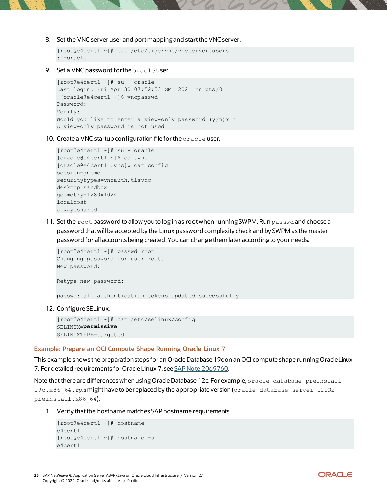8. Set the VNC server user and port mapping and start the VNC server.

```
[root@e4cert1 ~]# cat /etc/tigervnc/vncserver.users
:1=oracle
```
9. Set a VNC password for the oracle user.

```
[root@e4cert1 ~]# su - oracle
Last login: Fri Apr 30 07:52:53 GMT 2021 on pts/0
[oracle@e4cert1 ~]$ vncpasswd
Password:
Verify:
Would you like to enter a view-only password (y/n)? n
A view-only password is not used
```
10. Create a VNC startup configuration file for the oracle user.

```
[root@e4cert1 ~]# su - oracle 
[oracle@e4cert1 ~]$ cd .vnc 
[oracle@e4cert1 .vnc]$ cat config
session=gnome
securitytypes=vncauth, tlsvnc
desktop=sandbox
geometry=1280x1024
localhost
alwaysshared
```
11. Set the root password to allow you to log in as root when running SWPM. Run passwd and choose a password that will be accepted by the Linux password complexity check and by SWPM as the master password for all accounts being created. You can change them later according to your needs.

```
[root@e4cert1 ~]# passwd root
Changing password for user root.
New password:
```
Retype new password:

passwd: all authentication tokens updated successfully.

12. Configure SELinux.

```
[root@e4cert1 ~]# cat /etc/selinux/config
SELINUX=permissive
SELINUXTYPE=targeted
```
#### **Example: Prepare an OCI Compute Shape Running Oracle Linux 7**

This example shows the preparation steps for an Oracle Database 19c on an OCI compute shape running OracleLinux 7. For detailed requirements for Oracle Linux 7, see [SAP Note 2069760.](https://launchpad.support.sap.com/#/notes/2069760)

Note that there are differences when using Oracle Database 12c. For example, oracle-database-preinstall-19c.x86\_64.rpm might have to be replaced by the appropriate version (oracle-database-server-12cR2 preinstall.x86 64).

1. Verify that the hostname matches SAP hostname requirements.

```
[root@e4cert1 ~]# hostname
e4cert1
[root@e4cert1 ~]# hostname -s
e4cert1
```
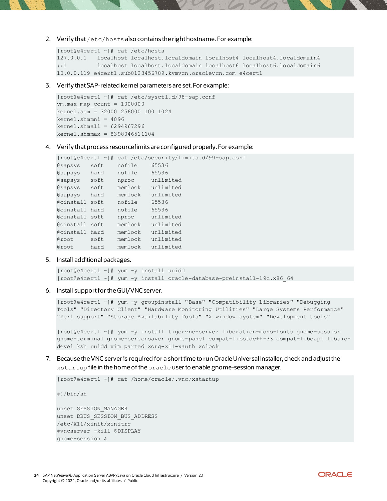2. Verify that /etc/hosts also contains the right hostname. For example:

```
[root@e4cert1 ~]# cat /etc/hosts
127.0.0.1 localhost localhost.localdomain localhost4 localhost4.localdomain4
::1 localhost localhost.localdomain localhost6 localhost6.localdomain6
10.0.0.119 e4cert1.sub0123456789.kvmvcn.oraclevcn.com e4cert1
```
3. Verify thatSAP-related kernel parameters are set. For example:

```
[root@e4cert1 ~]# cat /etc/sysctl.d/98-sap.conf
vm.max_map_count = 1000000
kernel.sem = 32000 256000 100 1024
kernel.shmmni = 4096
kernel.shmall = 6294967296
kernel.shmmax = 8398046511104
```
4. Verify that process resource limits are configured properly. For example:

```
[root@e4cert1 ~]# cat /etc/security/limits.d/99-sap.conf
@sapsys soft nofile 65536
esapsys hard nofile 65536<br>esapsys soft nproc unlimited
\ellsapsys soft nproc
@sapsys soft memlock unlimited
@sapsys hard memlock unlimited
@oinstall soft nofile 65536
@oinstall hard nofile 65536
@oinstall soft nproc unlimited
@oinstall soft memlock unlimited
@oinstall hard memlock unlimited
@root soft memlock unlimited
@root hard memlock unlimited
```
5. Install additional packages.

```
[root@e4cert1 ~]# yum -y install uuidd
[root@e4cert1 ~]# yum -y install oracle-database-preinstall-19c.x86_64
```
6. Install support for the GUI/VNC server.

```
[root@e4cert1 ~]# yum -y groupinstall "Base" "Compatibility Libraries" "Debugging 
Tools" "Directory Client" "Hardware Monitoring Utilities" "Large Systems Performance" 
"Perl support" "Storage Availability Tools" "X window system" "Development tools"
```
[root@e4cert1 ~]# yum -y install tigervnc-server liberation-mono-fonts gnome-session gnome-terminal gnome-screensaver gnome-panel compat-libstdc++-33 compat-libcap1 libaiodevel ksh uuidd vim parted xorg-x11-xauth xclock

7. Because the VNC serveris required for a short time to run Oracle Universal Installer, check and adjust the xstartup file in the home of the oracle user to enable gnome-session manager.

[root@e4cert1 ~]# cat /home/oracle/.vnc/xstartup

#!/bin/sh

unset SESSION\_MANAGER unset DBUS\_SESSION\_BUS\_ADDRESS /etc/X11/xinit/xinitrc #vncserver -kill \$DISPLAY gnome-session &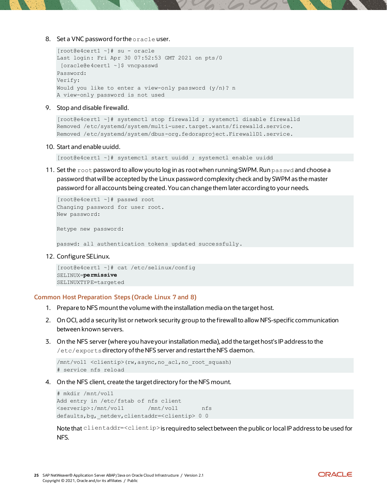#### 8. Set a VNC password for the oracle user.

```
[root@e4cert1 ~]# su - oracle
Last login: Fri Apr 30 07:52:53 GMT 2021 on pts/0
[oracle@e4cert1 ~]$ vncpasswd
Password:
Verify:
Would you like to enter a view-only password (y/n)? n
A view-only password is not used
```
#### 9. Stop and disable firewalld.

```
[root@e4cert1 ~]# systemctl stop firewalld ; systemctl disable firewalld
Removed /etc/systemd/system/multi-user.target.wants/firewalld.service.
Removed /etc/systemd/system/dbus-org.fedoraproject.FirewallD1.service.
```
10. Start and enable uuidd.

[root@e4cert1 ~]# systemctl start uuidd ; systemctl enable uuidd

11. Set the root password to allow you to log in as root when running SWPM. Run passwd and choose a password that will be accepted by the Linux password complexity check and by SWPM as the master password for all accounts being created. You can change them later accordingto your needs.

```
[root@e4cert1 ~]# passwd root
Changing password for user root.
New password:
Retype new password:
passwd: all authentication tokens updated successfully.
```
12. Configure SELinux.

```
[root@e4cert1 ~]# cat /etc/selinux/config
SELINUX=permissive
SELINUXTYPE=targeted
```
#### **Common Host Preparation Steps (Oracle Linux 7 and 8)**

- 1. Prepare to NFS mount the volume with the installation media on the target host.
- 2. On OCI, add a security list or network security group to the firewall to allow NFS-specific communication between known servers.
- 3. On the NFS server (where you have your installation media), add the target host's IP address to the /etc/exportsdirectory of the NFS server and restart the NFS daemon.

```
/mnt/vol1 <clientip>(rw,async,no_acl,no_root_squash)
# service nfs reload
```
4. On the NFS client, create the target directory for the NFS mount.

```
# mkdir /mnt/vol1
Add entry in /etc/fstab of nfs client<br>
\langle \text{serverip}\rangle:/mnt/vol1 /mnt/vol1
<serverip>:/mnt/vol1 /mnt/vol1 nfs 
defaults,bg,_netdev,clientaddr=<clientip> 0 0
```
Note that clientaddr=<clientip>is required to select between the public or local IP address to be used for NFS.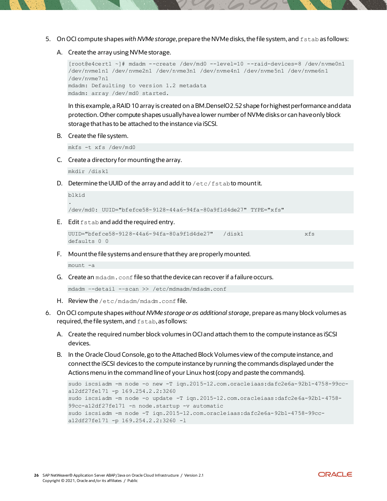- 5. On OCI compute shapes *with NVMe storage*, prepare the NVMe disks, the file system, and fstab as follows:
	- A. Create the array using NVMe storage.

```
[root@e4cert1 ~]# mdadm --create /dev/md0 --level=10 --raid-devices=8 /dev/nvme0n1 
/dev/nvme1n1 /dev/nvme2n1 /dev/nvme3n1 /dev/nvme4n1 /dev/nvme5n1 /dev/nvme6n1 
/dev/nvme7n1
mdadm: Defaulting to version 1.2 metadata
mdadm: array /dev/md0 started.
```
In this example, a RAID 10 array is created on a BM.DenseIO2.52 shape for highest performance and data protection. Other compute shapes usually have a lower number of NVMe disks or can have only block storage that has to be attached to the instance via iSCSI.

B. Create the file system.

mkfs -t xfs /dev/md0

C. Create a directory for mounting the array.

mkdir /disk1

D. Determine the UUID of the array and add it to  $/etc/fs$  tab to mount it.

```
blkid
.
/dev/md0: UUID="bfefce58-9128-44a6-94fa-80a9f1d4de27" TYPE="xfs"
```
E. Edit fstab and add the required entry.

```
UUID="bfefce58-9128-44a6-94fa-80a9f1d4de27" /disk1 xfs
defaults 0 0
```
F. Mount the file systems and ensure that they are properly mounted.

mount -a

G. Create an mdadm.conf file so that the device can recover if a failure occurs.

```
mdadm –-detail -–scan >> /etc/mdmadm/mdadm.conf
```
- H. Review the /etc/mdadm/mdadm.conf file.
- 6. On OCI compute shapes *without NVMe storage or as additional storage*, prepare as many block volumes as required, the file system, and  $f$ stab, as follows:
	- A. Create the required number block volumes in OCI and attach them to the compute instance as iSCSI devices.
	- B. In the Oracle Cloud Console, go to the Attached Block Volumes view of the compute instance, and connect the iSCSI devices to the compute instance by running the commands displayed under the Actions menu in the command line of your Linux host (copy and paste the commands).

```
sudo iscsiadm -m node -o new -T iqn.2015-12.com.oracleiaas:dafc2e6a-92b1-4758-99cc-
a12df27fe171 -p 169.254.2.2:3260
sudo iscsiadm -m node -o update -T iqn.2015-12.com.oracleiaas:dafc2e6a-92b1-4758-
99cc-a12df27fe171 -n node.startup -v automatic
sudo iscsiadm -m node -T iqn.2015-12.com.oracleiaas:dafc2e6a-92b1-4758-99cc-
a12df27fe171 -p 169.254.2.2:3260 -l
```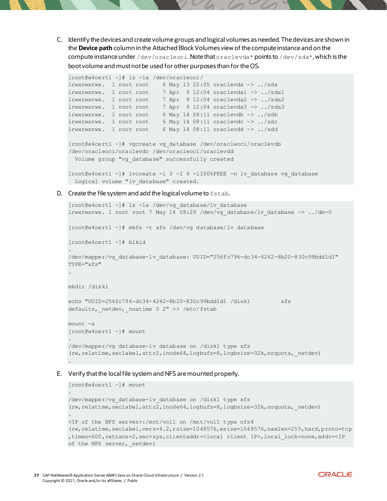C. Identify the devices and create volume groups and logical volumes as needed. The devices are shown in the **Device path** column in the Attached Block Volumes view of the compute instance and on the compute instance under /dev/oracleoci. Note that oraclevda\* points to /dev/sda\*, which is the boot volume and must not be used for other purposes than for the OS.

```
[root@e4cert1 ~]# ls -la /dev/oracleoci/
lrwxrwxrwx. 1 root root 6 May 13 22:05 oraclevda -> ../sda
lrwxrwxrwx. 1 root root 7 Apr 9 12:04 oraclevda1 -> ../sda1
lrwxrwxrwx. 1 root root 7 Apr 9 12:04 oraclevda2 -> ../sda2
lrwxrwxrwx. 1 root root 7 Apr 9 12:04 oraclevda3 -> ../sda3
lrwxrwxrwx. 1 root root 6 May 14 08:11 oraclevdb -> ../sdb
lrwxrwxrwx. 1 root root 6 May 14 08:11 oraclevdc -> ../sdc
lrwxrwxrwx. 1 root root 6 May 14 08:11 oraclevdd -> ../sdd
[root@e4cert1 ~]# vgcreate vg_database /dev/oracleoci/oraclevdb 
/dev/oracleoci/oraclevdc /dev/oracleoci/oraclevdd
  Volume group "vg_database" successfully created
[root@e4cert1 ~]# lvcreate -i 3 -I 4 -l100%FREE -n lv_database vg_database
```
Logical volume "lv database" created.

D. Create the file system and add the logical volume to fstab.

```
[root@e4cert1 ~]# ls -la /dev/vg_database/lv_database
lrwxrwxrwx. 1 root root 7 May 14 08:29 /dev/vg_database/lv_database -> ../dm-0
[root@e4cert1 ~]# mkfs -t xfs /dev/vg_database/lv_database
[root@e4cert1 ~]# blkid
.
/dev/mapper/vg_database-lv_database: UUID="256fc796-dc34-4242-8b20-830c99bdd1d1" 
TYPE="xfs"
.
mkdir /disk1
echo "UUID=256fc796-dc34-4242-8b20-830c99bdd1d1 /disk1 xfs 
defaults, netdev, noatime 0 2" >> /etc/fstab
mount -a
[root@e4cert1 ~]# mount
.
/dev/mapper/vg_database-lv_database on /disk1 type xfs 
(rw, relatime, seclabel, attr2, inode64, logbufs=8, logbsize=32k, noquota, netdev)
```
#### E. Verify that the local file system and NFS are mounted properly.

```
[root@e4cert1 ~]# mount
.
/dev/mapper/vg_database-lv_database on /disk1 type xfs 
(rw,relatime,seclabel,attr2,inode64,logbufs=8,logbsize=32k,noquota,_netdev)
.
<IP of the NFS server>:/mnt/vol1 on /mnt/vol1 type nfs4 
(rw,relatime,seclabel,vers=4.2,rsize=1048576,wsize=1048576,namlen=255,hard,proto=tcp
,timeo=600,retrans=2,sec=sys,clientaddr=<local client IP>,local_lock=none,addr=<IP 
of the NFS server, netdev)
```
.

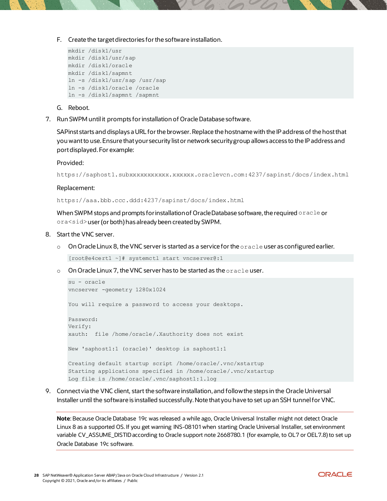F. Create the target directories for the software installation.

```
mkdir /disk1/usr
mkdir /disk1/usr/sap
mkdir /disk1/oracle
mkdir /disk1/sapmnt
ln -s /disk1/usr/sap /usr/sap
ln -s /disk1/oracle /oracle
ln -s /disk1/sapmnt /sapmnt
```
- G. Reboot.
- 7. Run SWPM until it prompts for installation of Oracle Database software.

SAPinst starts and displays a URL for the browser. Replace the hostname with the IP address of the host that you want to use. Ensure that your security list or network security group allows access to the IP address and port displayed. For example:

#### Provided:

https://saphost1.subxxxxxxxxxxx.xxxxxx.oraclevcn.com:4237/sapinst/docs/index.html

#### Replacement:

https://aaa.bbb.ccc.ddd:4237/sapinst/docs/index.html

When SWPM stops and prompts for installation of Oracle Database software, the required oracle or ora<sid>user (or both) has already been created by SWPM.

#### 8. Start the VNC server.

 $\circ$  On Oracle Linux 8, the VNC server is started as a service for the  $\circ$ racle user as configured earlier.

[root@e4cert1 ~]# systemctl start vncserver@:1

 $\circ$  On Oracle Linux 7, the VNC server has to be started as the  $\circ$ racle user.

```
su - oracle
vncserver -geometry 1280x1024
You will require a password to access your desktops.
Password:
Verify:
xauth: file /home/oracle/.Xauthority does not exist
New 'saphost1:1 (oracle)' desktop is saphost1:1
Creating default startup script /home/oracle/.vnc/xstartup
Starting applications specified in /home/oracle/.vnc/xstartup
Log file is /home/oracle/.vnc/saphost1:1.log
```
9. Connect via the VNC client, start the software installation, and follow the steps in the Oracle Universal Installer until the software is installed successfully. Note that you have to set up an SSH tunnel for VNC.

**Note**: Because Oracle Database 19c was released a while ago, Oracle Universal Installer might not detect Oracle Linux 8 as a supported OS. If you get warning INS-08101 when starting Oracle Universal Installer, set environment variable CV\_ASSUME\_DISTID according to Oracle support note 2668780.1 (for example, to OL7 or OEL7.8) to set up Oracle Database 19c software.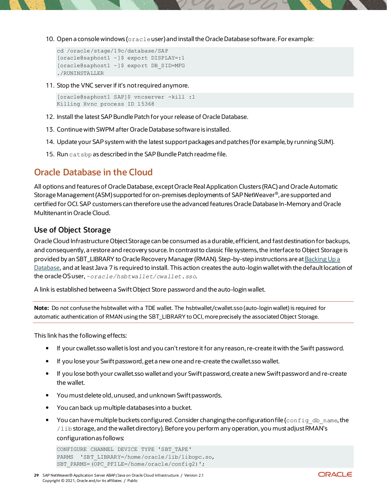10. Open a console windows (oracleuser) and install the Oracle Database software. For example:

```
cd /oracle/stage/19c/database/SAP
[oracle@saphost1 ~]$ export DISPLAY=:1
[oracle@saphost1 ~]$ export DB_SID=MFG
./RUNINSTALLER
```
11. Stop the VNC server if it's not required anymore.

```
[oracle@saphost1 SAP]$ vncserver -kill :1
Killing Xvnc process ID 15368
```
- 12. Install the latest SAP Bundle Patch for your release of Oracle Database.
- 13. Continue with SWPM after Oracle Database software is installed.
- 14. Update your SAP system with the latest support packages and patches (for example, by running SUM).
- 15. Run catsbp as described in the SAP Bundle Patch readme file.

# <span id="page-28-0"></span>**Oracle Database in the Cloud**

All options and features of Oracle Database, except Oracle Real Application Clusters (RAC) and Oracle Automatic Storage Management (ASM) supported for on-premises deployments of SAP NetWeaver®, are supported and certified for OCI. SAP customers can therefore use the advanced features Oracle Database In-Memory and Oracle Multitenant in Oracle Cloud.

### <span id="page-28-1"></span>**Use of Object Storage**

Oracle Cloud Infrastructure Object Storage can be consumed as a durable, efficient, and fast destination for backups, and consequently, a restore and recovery source. In contrast to classic file systems, the interface to Object Storage is provided by an SBT\_LIBRARY to Oracle Recovery Manager (RMAN). Step-by-step instructions are a[t Backing Up a](https://docs.oracle.com/iaas/Content/Database/Tasks/backingup.htm)  [Database](https://docs.oracle.com/iaas/Content/Database/Tasks/backingup.htm), and at least Java 7 is required to install. This action creates the auto-login wallet with the default location of the oracle OS user, *~oracle/hsbtwallet/cwallet.sso*.

A link is established between a Swift Object Store password and the auto-login wallet.

**Note:** Do not confuse the hsbtwallet with a TDE wallet. The hsbtwallet/cwallet.sso (auto-login wallet) is required for automatic authentication of RMAN using the SBT\_LIBRARY to OCI, more precisely the associated Object Storage.

This link has the following effects:

- If your cwallet.sso wallet is lost and you can't restore it for any reason, re-create it with the Swift password.
- If you lose your Swift password, get a new one and re-create the cwallet.sso wallet.
- If you lose both your cwallet.sso walletand your Swift password, create a new Swift password and re-create the wallet.
- You must delete old, unused, and unknown Swift passwords.
- You can back up multiple databases into a bucket.
- You can have multiple buckets configured. Consider changing the configuration file (config db name, the /lib storage, and the wallet directory). Before you perform any operation, you must adjust RMAN's configuration as follows:

```
CONFIGURE CHANNEL DEVICE TYPE 'SBT_TAPE' 
PARMS 'SBT LIBRARY=/home/oracle/lib/libopc.so,
SBT_PARMS=(OPC_PFILE=/home/oracle/config2)';
```
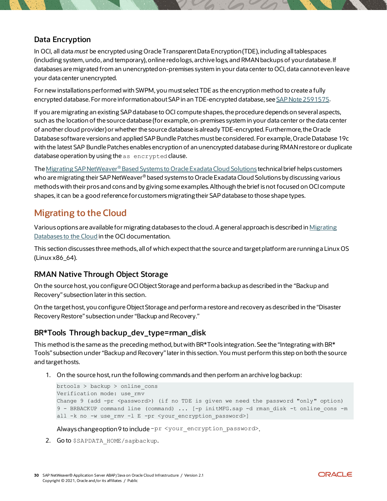### <span id="page-29-0"></span>**Data Encryption**

In OCI, all data *must* be encrypted using Oracle Transparent Data Encryption (TDE), including all tablespaces (including system, undo, and temporary), online redo logs, archive logs, and RMAN backups of your database. If databases are migrated from an unencrypted on-premises system in your data center to OCI, data cannot even leave your data center unencrypted.

For new installations performed with SWPM, you must select TDE as the encryption method to create a fully encrypted database. For more information about SAP in an TDE-encrypted database, see [SAP Note 2591575](https://launchpad.support.sap.com/#/notes/2591575).

If you are migrating an existing SAP database to OCI compute shapes, the procedure depends on several aspects, such as the location of the source database (for example, on-premises system in your data center or the data center of another cloud provider) or whether the source database is already TDE-encrypted. Furthermore, the Oracle Database software versions and applied SAP Bundle Patches must be considered. For example, Oracle Database 19c with the latest SAP Bundle Patches enables encryption of an unencrypted database during RMAN restore or duplicate database operation by using the as encrypted clause.

The Migrating SAP NetWeaver® [Based Systems to Oracle Exadata Cloud Solutions](https://www.oracle.com/a/ocom/docs/migrating_sap_netweaver_to_exadata_cloud_services.pdf) technical brief helps customers who are migrating their SAP NetWeaver<sup>®</sup> based systems to Oracle Exadata Cloud Solutions by discussing various methods with their pros and cons and by giving some examples. Although the brief is not focused on OCI compute shapes, it can be a good reference for customers migrating their SAP database to those shape types.

# <span id="page-29-1"></span>**Migrating to the Cloud**

Various options are available for migrating databases to the cloud. A general approach is described in [Migrating](https://docs.oracle.com/iaas/Content/Database/Tasks/migrating.htm)  [Databases to the Cloud](https://docs.oracle.com/iaas/Content/Database/Tasks/migrating.htm) in the OCI documentation.

This section discusses three methods, all of which expect that the source and target platform are running a Linux OS (Linux x86\_64).

### <span id="page-29-2"></span>**RMAN Native Through Object Storage**

On the source host, you configure OCI Object Storage and perform a backup as described in the ["Backup and](#page-31-0)  [Recovery](#page-31-0)" subsection later in this section.

On the target host, you configure Object Storage and perform a restore and recovery as described in the "[Disaster](#page-33-1)  [Recovery Restore](#page-33-1)" subsection under "Backup and Recovery."

### <span id="page-29-3"></span>**BR\*Tools Through backup\_dev\_type=rman\_disk**

This method is the same as the preceding method, but with BR\*Tools integration. See the "[Integrating with BR\\*](#page-32-0)  [Tools](#page-32-0)" subsection under "Backup and Recovery" later in this section. You must perform this step on both the source and target hosts.

1. On the source host, run the following commands and then perform an archive log backup:

```
brtools > backup > online_cons
Verification mode: use_rmv
Change 9 (add -pr \langlepassword>) (if no TDE is given we need the password "only" option)
9 - BRBACKUP command line (command) ... [-p initMFG.sap -d rman disk -t online cons -m
all -k no -w use rmv -l E -pr <your encryption password>]
```
Always change option 9 to include -pr <your\_encryption\_password>.

2. Go to \$SAPDATA HOME/sapbackup.

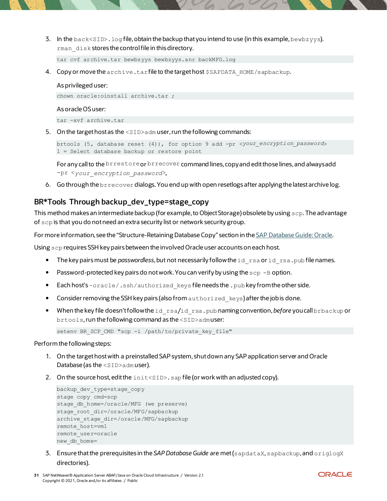3. In the back<SID>.  $log$  file, obtain the backup that you intend to use (in this example, bewbzyys). rman\_disk stores the control file in this directory.

tar cvf archive.tar bewbzyys bewbzyys.anr backMFG.log

4. Copy or move the archive.tar file to the target host \$SAPDATA\_HOME/sapbackup.

#### As privileged user:

chown oracle:oinstall archive.tar ;

#### As oracle OS user:

tar -xvf archive.tar

5. On the target host as the <SID>adm user, run the following commands:

brtools (5, database reset (4)), for option 9 add -pr <*your\_encryption\_password*> 1 = Select database backup or restore point

For any call to the brrestore or brrecover command lines, copy and edit those lines, and always add -pr <*your\_encryption\_password*>**.**

6. Go through the brrecover dialogs. You end up with open resetlogs after applying the latest archive log.

### <span id="page-30-0"></span>**BR\*Tools Through backup\_dev\_type=stage\_copy**

This method makes an intermediate backup (for example, to Object Storage) obsolete by using scp. The advantage of scp is that you do not need an extra security list or network security group.

For more information, see the "Structure-Retaining Database Copy" section in th[e SAP Database Guide: Oracle.](https://www.sap.com/docs/download/2016/08/b474d698-817c-0010-82c7-eda71af511fa.pdf)

Using scp requires SSH key pairs between the involved Oracle user accounts on each host.

- The key pairs must be *passwordless*, but not necessarily follow the id rsa or id rsa.pub file names.
- Password-protected key pairs do not work. You can verify by using the  $\text{sep}$  -B option.
- Each host's ~oracle/.ssh/authorized keys file needs the .pub key from the other side.
- Consider removing the SSH key pairs (also from authorized keys) after the job is done.
- When the key file doesn't follow the id rsa/id rsa.pub naming convention, *before* you call brbackup or brtools, run the following command as the <SID>admuser:

setenv BR\_SCP\_CMD "scp -i /path/to/private\_key\_file"

#### Perform the following steps:

- 1. On the target host with a preinstalled SAP system, shut down any SAP application server and Oracle Database (as the <SID>adm user).
- 2. On the source host, edit the  $intersID>$ . sap file (or work with an adjusted copy).

```
backup_dev_type=stage_copy
stage_copy_cmd=scp
stage db home=/oracle/MFG (we preserve)
stage_root_dir=/oracle/MFG/sapbackup 
archive stage dir=/oracle/MFG/sapbackup
remote_host=vm1
remote_user=oracle
new db home=
```
3. Ensure that the prerequisites in the *SAP Database Guide* are met (sapdataX, sapbackup, and origlogX directories).

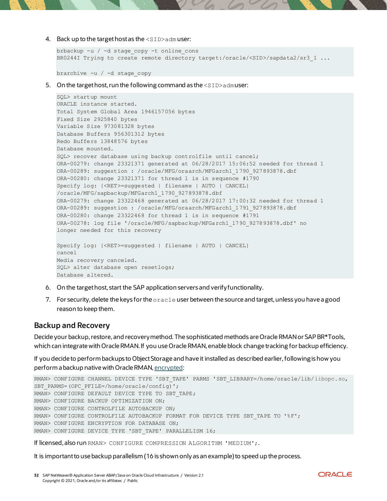4. Back up to the target host as the <SID>adm user:

```
brbackup -u / -d stage_copy -t online_cons
BR0244I Trying to create remote directory target:/oracle/<SID>/sapdata2/sr3_1 ...
```
brarchive -u / -d stage\_copy

5. On the target host, run the following command as the <SID>admuser:

```
SQL> startup mount
ORACLE instance started.
Total System Global Area 1946157056 bytes
Fixed Size 2925840 bytes
Variable Size 973081328 bytes
Database Buffers 956301312 bytes
Redo Buffers 13848576 bytes
Database mounted.
SQL> recover database using backup controlfile until cancel;
ORA-00279: change 23321371 generated at 06/28/2017 15:06:52 needed for thread 1
ORA-00289: suggestion : /oracle/MFG/oraarch/MFGarch1_1790_927893878.dbf
ORA-00280: change 23321371 for thread 1 is in sequence #1790
Specify log: {<RET>=suggested | filename | AUTO | CANCEL}
/oracle/MFG/sapbackup/MFGarch1_1790_927893878.dbf
ORA-00279: change 23322468 generated at 06/28/2017 17:00:32 needed for thread 1
ORA-00289: suggestion : /oracle/MFG/oraarch/MFGarch1 1791 927893878.dbf
ORA-00280: change 23322468 for thread 1 is in sequence #1791
ORA-00278: log file '/oracle/MFG/sapbackup/MFGarch1_1790_927893878.dbf' no
longer needed for this recovery
Specify log: {<RET>=suggested | filename | AUTO | CANCEL}
cancel
Media recovery canceled.
SQL> alter database open resetlogs;
Database altered.
```
- 6. On the target host, start the SAP application servers and verify functionality.
- 7. For security, delete the keys for the oracle user between the source and target, unless you have a good reason to keep them.

#### <span id="page-31-0"></span>**Backup and Recovery**

Decide your backup, restore, and recovery method. The sophisticated methods are Oracle RMAN or SAP BR\*Tools, which can integrate with Oracle RMAN. If you use Oracle RMAN, enable block change tracking for backup efficiency.

If you decide to perform backups to Object Storage and have it installed as described earlier, following is how you perform a backup native with Oracle RMAN[, encrypted](https://docs.oracle.com/cd/B28359_01/backup.111/b28270/rcmconfa.htm#sthref609):

```
/libopc.so,
SBT_PARMS=(OPC_PFILE=/home/oracle/config)';
RMAN> CONFIGURE DEFAULT DEVICE TYPE TO SBT TAPE;
RMAN> CONFIGURE BACKUP OPTIMIZATION ON;
RMAN> CONFIGURE CONTROLFILE AUTOBACKUP ON;
RMAN> CONFIGURE CONTROLFILE AUTOBACKUP FORMAT FOR DEVICE TYPE SBT TAPE TO \sqrt[18]{\text{F}};
RMAN> CONFIGURE ENCRYPTION FOR DATABASE ON; 
RMAN> CONFIGURE DEVICE TYPE 'SBT_TAPE' PARALLELISM 16;
```
If licensed, also run RMAN> CONFIGURE COMPRESSION ALGORITHM 'MEDIUM';.

It is important to use backup parallelism (16 is shown only as an example) to speed up the process.

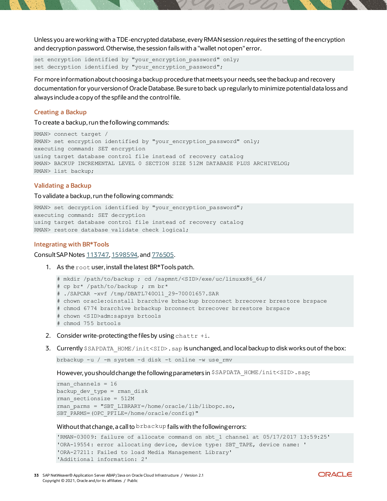Unless you are working with a TDE-encrypted database, every RMAN session *requires* the setting of the encryption and decryption password. Otherwise, the session fails with a "wallet not open" error.

set encryption identified by "your encryption password" only; set decryption identified by "your\_encryption\_password";

For more information about choosing a backup procedure that meets your needs, see the backup and recovery documentation for your version of Oracle Database. Be sure to back up regularly to minimize potential data loss and always include a copy of the spfile and the control file.

#### **Creating a Backup**

To create a backup, run the following commands:

```
RMAN> connect target /
RMAN> set encryption identified by "your encryption password" only;
executing command: SET encryption
using target database control file instead of recovery catalog
RMAN> BACKUP INCREMENTAL LEVEL 0 SECTION SIZE 512M DATABASE PLUS ARCHIVELOG;
RMAN> list backup;
```
#### **Validating a Backup**

To validate a backup, run the following commands:

```
RMAN> set decryption identified by "your encryption password";
executing command: SET decryption
using target database control file instead of recovery catalog
RMAN> restore database validate check logical;
```
#### <span id="page-32-0"></span>**Integrating with BR\*Tools**

Consult SAP Notes [113747](https://launchpad.support.sap.com/#/notes/113747), [1598594](https://launchpad.support.sap.com/#/notes/1598594), and [776505](https://launchpad.support.sap.com/#/notes/776505).

1. As the root user, install the latest BR\*Tools patch.

```
# mkdir /path/to/backup ; cd /sapmnt/<SID>/exe/uc/linuxx86_64/
# cp br* /path/to/backup ; rm br*
# ./SAPCAR -xvf /tmp/DBATL740O11_29-70001657.SAR 
# chown oracle:oinstall brarchive brbackup brconnect brrecover brrestore brspace
# chmod 6774 brarchive brbackup brconnect brrecover brrestore brspace
# chown <SID>adm:sapsys brtools
# chmod 755 brtools
```
- 2. Consider write-protecting the files by using chattr  $+i$ .
- 3. Currently \$SAPDATA HOME/init<SID>.sap is unchanged, and local backup to disk works out of the box:

brbackup -u / -m system -d disk -t online -w use\_rmv

However, you should change the following parameters in \$SAPDATA\_HOME/init<SID>.sap:

```
rman channels = 16backup_dev_type = rman_disk
rman_sectionsize = 512M
rman_parms = "SBT_LIBRARY=/home/oracle/lib/libopc.so, 
SBT_PARMS=(OPC_PFILE=/home/oracle/config)"
```
Without that change, a call to  $b$ rbackup fails with the following errors:

```
'RMAN-03009: failure of allocate command on sbt_1 channel at 05/17/2017 13:59:25'
'ORA-19554: error allocating device, device type: SBT_TAPE, device name: '
'ORA-27211: Failed to load Media Management Library'
'Additional information: 2'
```
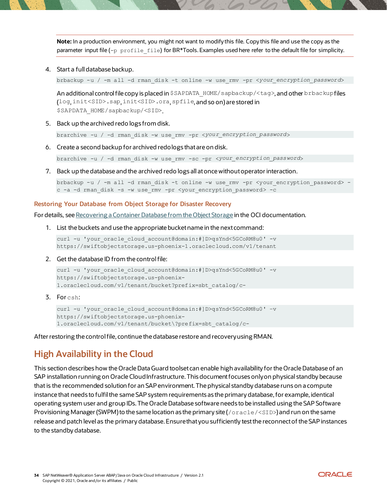**Note:** In a production environment, you might not want to modify this file. Copy this file and use the copy as the parameter input file  $(-p \text{ profile file})$  for BR\*Tools. Examples used here refer to the default file for simplicity.

4. Start a full database backup.

brbackup -u / -m all -d rman\_disk -t online -w use\_rmv -pr <*your\_encryption\_password*>

An additional control file copy is placed in \$SAPDATA\_HOME/sapbackup/<tag>, and other brbackup files (log, init<SID>.sap, init<SID>.ora, spfile, and so on) are stored in \$SAPDATA\_HOME/sapbackup/<SID>.

5. Back up the archived redo logs from disk.

brarchive -u / -d rman\_disk -w use\_rmv -pr <*your\_encryption\_password*>

6. Create a second backup for archived redo logs that are on disk.

brarchive -u / -d rman\_disk -w use\_rmv -sc -pr <*your\_encryption\_password*>

7. Back up the database and the archived redo logs all at once without operator interaction.

brbackup -u / -m all -d rman\_disk -t online -w use\_rmv -pr <your\_encryption\_password> c -a -d rman\_disk -s -w use\_rmv -pr <your\_encryption\_password> -c

#### <span id="page-33-1"></span>**Restoring Your Database from Object Storage for Disaster Recovery**

For details, see Recovering a Container [Database from the Object Storage](https://docs.oracle.com/iaas/Content/Database/Tasks/recoveringOS.htm) in the OCI documentation.

1. List the buckets and use the appropriate bucket name in the next command:

curl -u 'your oracle cloud account@domain:#]D>qsYnd<5GCoRM8u0' -v https://swiftobjectstorage.us-phoenix-1.oraclecloud.com/v1/tenant

2. Get the database ID from the control file:

```
curl -u 'your oracle cloud account@domain:#]D>qsYnd<5GCoRM8u0' -v
https://swiftobjectstorage.us-phoenix-
1.oraclecloud.com/v1/tenant/bucket?prefix=sbt_catalog/c-
```
3. For csh:

curl -u 'your oracle cloud account@domain:#]D>qsYnd<5GCoRM8u0' -v https://swiftobjectstorage.us-phoenix-1.oraclecloud.com/v1/tenant/bucket\?prefix=sbt\_catalog/c-

After restoring the control file, continue the database restore and recovery using RMAN.

# <span id="page-33-0"></span>**High Availability in the Cloud**

This section describes how the Oracle Data Guard toolset can enable high availability for the Oracle Database of an SAP installation running on Oracle Cloud Infrastructure.This document focuses only on physical standby because that is the recommended solution for an SAP environment. The physical standby database runs on a compute instance that needs to fulfilthe same SAP system requirements as the primary database, for example, identical operating system user and group IDs. The Oracle Database software needs to be installed using the SAP Software Provisioning Manager (SWPM) to the same location as the primary site ( $/$ oracle $/$ <SID>) and run on the same release and patch level as the primary database. Ensurethat you sufficiently test the reconnect of the SAP instances to the standby database.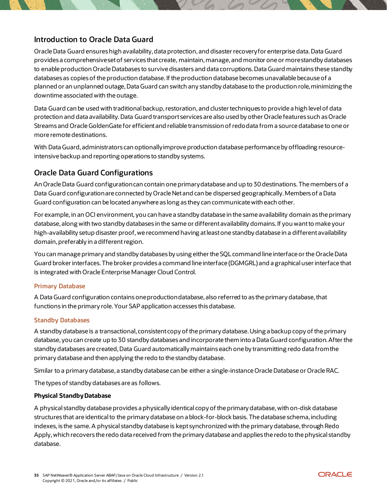### <span id="page-34-0"></span>**Introduction to Oracle Data Guard**

Oracle Data Guard ensures high availability, data protection, and disaster recovery for enterprise data. Data Guard provides a comprehensive set of services that create, maintain, manage, and monitor one or more standby databases to enable production Oracle Databases to survive disasters and data corruptions. Data Guard maintains these standby databases as copies of the production database. If the production database becomes unavailable because of a planned or an unplanned outage, Data Guard can switch any standby database to the production role, minimizing the downtime associated with the outage.

Data Guard can be used with traditional backup, restoration, and cluster techniques to provide a high level of data protection and data availability. Data Guard transport services are also used by other Oracle features such as Oracle Streams and Oracle GoldenGate for efficient and reliable transmission of redo data from a source database to one or more remote destinations.

With Data Guard, administrators can optionally improve production database performance by offloading resourceintensive backup and reporting operations to standby systems.

### <span id="page-34-1"></span>**Oracle Data Guard Configurations**

An Oracle Data Guard configuration can contain one primary database and up to 30 destinations. The members of a Data Guard configuration are connected by Oracle Net and can be dispersed geographically. Members of a Data Guard configuration can be located anywhere as long as they can communicate with each other.

For example, in an OCI environment, you can have a standby database in the same availability domain as the primary database, along with two standby databases in the same or different availability domains. If you want to make your high-availability setup disaster proof, we recommend having at least one standby database in a different availability domain, preferably in a different region.

You can manage primary and standby databases by using either the SQL command line interface or the Oracle Data Guard broker interfaces. The broker provides a command line interface (DGMGRL) and a graphical user interface that is integrated with Oracle Enterprise Manager Cloud Control.

#### **Primary Database**

A Data Guard configuration contains one production database, also referred to as the primary database, that functions in the primary role. Your SAP application accesses this database.

#### **Standby Databases**

A standby database is a transactional, consistent copy of the primary database. Using a backup copy of the primary database, you can create up to 30 standby databases and incorporate them into a Data Guard configuration. After the standby databases are created, Data Guard automatically maintains each one by transmitting redo data from the primary database and then applying the redo to the standby database.

Similar to a primary database, a standby database can be either a single-instance Oracle Database or Oracle RAC.

The types of standby databases are as follows.

#### **Physical Standby Database**

A physical standby database provides a physically identical copy of the primary database, with on-disk database structures that are identical to the primary database on a block-for-block basis. The database schema, including indexes, is the same. A physical standby database is kept synchronized with the primary database, through Redo Apply, which recovers the redo data received from the primary database and applies the redo to the physical standby database.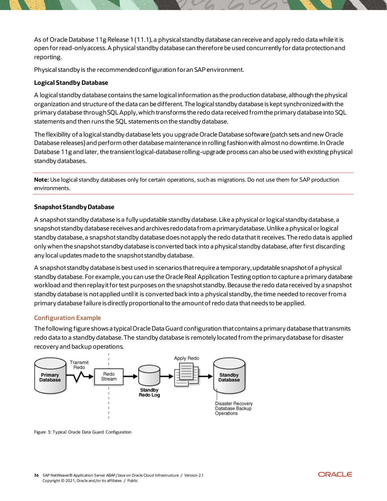As of Oracle Database 11g Release 1 (11.1), a physical standby database can receive and apply redo data while it is open for read-only access. A physical standby database can therefore be used concurrently for data protection and reporting.

Physical standby is the recommended configuration for an SAP environment.

#### **Logical Standby Database**

A logical standby database contains the same logical information as the production database, although the physical organization and structure of the data can be different. The logical standby database is kept synchronized with the primary database through SQL Apply, which transforms the redo data received from the primary database into SQL statements and then runs the SQL statements on the standby database.

The flexibility of a logical standby database lets you upgrade Oracle Database software (patch sets and new Oracle Database releases) and perform other database maintenance in rolling fashion with almost no downtime. In Oracle Database 11g and later, the transient logical-database rolling-upgrade process can also be used with existing physical standby databases.

**Note:** Use logical standby databases only for certain operations, such as migrations. Do not use them for SAP production environments.

#### **Snapshot Standby Database**

A snapshot standby database is a fully updatable standby database.Like a physical or logical standby database, a snapshot standby database receives and archives redo data from a primary database. Unlike a physical or logical standby database, a snapshot standby database does not apply the redo data that it receives. The redo data is applied only when the snapshot standby database is converted back into a physical standby database, after first discarding any local updates made to the snapshot standby database.

A snapshot standby database is best used in scenarios that require a temporary, updatable snapshot of a physical standby database. For example, you can use the Oracle Real Application Testing option to capture a primary database workload and then replay it for test purposes on the snapshot standby. Because the redo data received by a snapshot standby database is not applied until it is converted back into a physical standby, the time needed to recover from a primary database failure is directly proportional to the amount of redo data that needs to be applied.

#### **Configuration Example**

The following figure shows a typical Oracle Data Guard configuration that contains a primary database that transmits redo data to a standby database. The standby database is remotely located from the primary database for disaster recovery and backup operations.



Figure 3: Typical Oracle Data Guard Configuration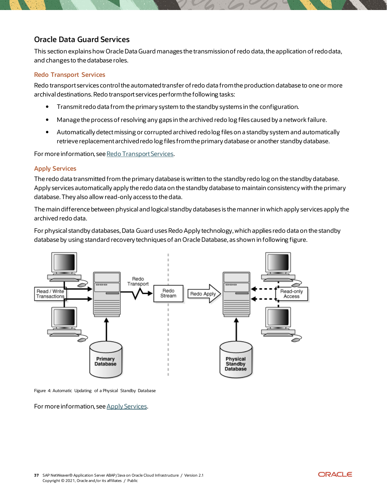### <span id="page-36-0"></span>**Oracle Data Guard Services**

This section explains how Oracle Data Guard manages the transmission of redo data, the application of redo data, and changes to the database roles.

#### **Redo Transport Services**

Redo transport services control the automated transfer of redo data from the production database to one or more archival destinations. Redo transport services perform the following tasks:

- Transmit redo data from the primary system to the standby systems in the configuration.
- Manage the process of resolving any gaps in the archived redo log files caused by a network failure.
- Automatically detect missing or corrupted archived redo log files on a standby system and automatically retrieve replacement archived redo log files from the primary database or another standby database.

For more information, see [Redo Transport Services](https://docs.oracle.com/database/121/SBYDB/concepts.htm#SBYDB4706).

### **Apply Services**

The redo data transmitted from the primary database is written to the standby redo log on the standby database. Apply services automatically apply the redo data on the standby database to maintain consistency with the primary database. They also allow read-only access to the data.

The main difference between physical and logical standby databases is the manner in which apply services apply the archived redo data.

For physical standby databases, Data Guard uses Redo Apply technology, which applies redo data on the standby database by using standard recovery techniques of an Oracle Database, as shown in following figure.



Figure 4: Automatic Updating of a Physical Standby Database

For more information, see [Apply Services](https://docs.oracle.com/database/121/SBYDB/concepts.htm#SBYDB4707).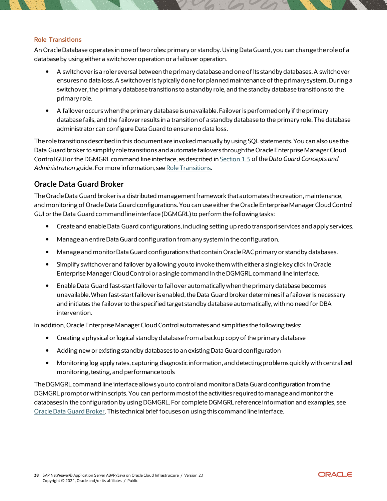#### **Role Transitions**

An Oracle Database operates in one of two roles: primary or standby. Using Data Guard, you can change the role of a database by using either a switchover operation or a failover operation.

- A switchover is a role reversal between the primary database and one of its standby databases. A switchover ensures no data loss. A switchover is typically done for planned maintenance of the primary system. During a switchover, the primary database transitions to a standby role, and the standby database transitions to the primary role.
- A failover occurs when the primary database is unavailable. Failover is performed only if the primary database fails, and the failover results in a transition of a standby database to the primary role. The database administrator can configure Data Guard to ensure no data loss.

The role transitions described in this document are invoked manually by using SQL statements. You can also use the Data Guard broker to simplify role transitions and automate failovers through the Oracle Enterprise Manager Cloud Control GUI or the DGMGRL command line interface, as described in [Section 1.3](https://docs.oracle.com/database/121/SBYDB/concepts.htm#GUID-538B9DDD-1553-479D-8E1D-0B5C6848403E) of the*Data Guard Concepts and Administration* guide. For more information, see [Role Transitions](https://docs.oracle.com/database/121/SBYDB/role_management.htm#SBYDB00600).

### <span id="page-37-0"></span>**Oracle Data Guard Broker**

The Oracle Data Guard broker is a distributed management framework that automates the creation, maintenance, and monitoring of Oracle Data Guard configurations.You can use either the Oracle Enterprise Manager Cloud Control GUI or the Data Guard commandline interface (DGMGRL) to perform the following tasks:

- Create and enable Data Guard configurations, including setting up redo transport services and apply services.
- Manage an entire Data Guard configuration from any system in the configuration.
- Manage and monitor Data Guard configurations that contain Oracle RAC primary or standby databases.
- Simplify switchover and failover by allowing you to invoke them with either a single key click in Oracle Enterprise Manager Cloud Control or a single command in the DGMGRL command line interface.
- Enable Data Guard fast-start failover to fail over automatically when the primary database becomes unavailable. When fast-start failover is enabled, the Data Guard broker determines if a failover is necessary and initiates the failover to the specified target standby database automatically, with no need for DBA intervention.

In addition, Oracle Enterprise Manager Cloud Control automates and simplifies the following tasks:

- Creating a physical or logical standby database from a backup copy of the primary database
- Adding new or existing standby databases to an existing Data Guard configuration
- Monitoring log apply rates, capturing diagnostic information, and detecting problems quickly with centralized monitoring, testing, and performance tools

The DGMGRLcommand line interface allows you to control and monitor a Data Guard configuration from the DGMGRL prompt or within scripts. You can perform most of the activities required to manage and monitor the databases in the configuration by using DGMGRL. For complete DGMGRL reference information and examples, see [Oracle Data Guard Broker.](https://docs.oracle.com/database/121/DGBKR/cli.htm#DGBKR495) This technical brief focuses on using this commandline interface.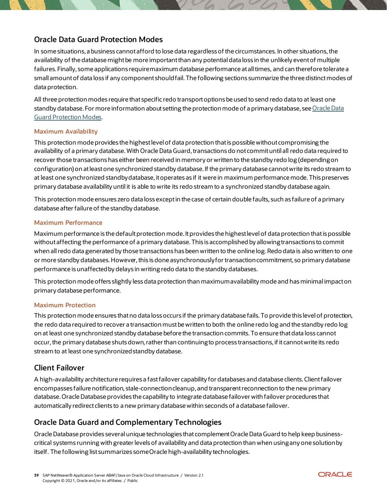### <span id="page-38-0"></span>**Oracle Data Guard Protection Modes**

In some situations, a business cannot afford to lose data regardless of the circumstances. In other situations, the availability of the database might be more important than any potential data loss in the unlikely event of multiple failures. Finally, some applications require maximum database performance at all times, and can therefore tolerate a small amount of data loss if any component should fail. The following sections summarize the three distinct modes of data protection.

All three protection modes require that specific redo transport options be used to send redo data to at least one standby database. For more information about setting the protection mode of a primary database, se[e Oracle Data](https://docs.oracle.com/database/121/SBYDB/protection.htm#CHDEDGIF)  [Guard Protection Modes](https://docs.oracle.com/database/121/SBYDB/protection.htm#CHDEDGIF).

#### **Maximum Availability**

This protection mode provides the highest level of data protection that is possible without compromising the availability of a primary database. With Oracle Data Guard, transactions do not commit until all redo data required to recover those transactions has either been received in memory or written to the standby redo log (depending on configuration) on at least one synchronized standby database. If the primary database cannot write its redo stream to at least one synchronized standby database, it operates as if it were in maximum performance mode. This preserves primary database availability until it is able to write its redo stream to a synchronized standby database again.

This protection mode ensures zero data loss except in the case of certain double faults, such as failure of a primary database after failure of the standby database.

#### **Maximum Performance**

Maximum performance is the default protection mode. It provides the highest level of data protection that is possible without affecting the performance of a primary database. This is accomplished by allowing transactions to commit when all redo data generated by those transactions has been written to the online log. Redo data is also written to one or more standby databases. However, this is done asynchronously for transaction commitment, so primary database performance is unaffected by delays in writing redo data to the standby databases.

This protection mode offers slightly less data protection than maximum availability mode and has minimal impact on primary database performance.

#### **Maximum Protection**

This protection mode ensures that no data loss occurs if the primary database fails. To provide this level of protection, the redo data required to recover a transaction must be written to both the online redo log and the standby redo log on at least one synchronized standby database before the transaction commits. To ensure that data loss cannot occur, the primary database shuts down, rather than continuing to process transactions, if it cannot write its redo stream to at least one synchronized standby database.

### <span id="page-38-1"></span>**Client Failover**

A high-availability architecture requires a fast failover capability for databases and database clients.Client failover encompasses failure notification, stale-connection cleanup, and transparent reconnection to the new primary database. Oracle Database provides the capability to integrate database failover with failover procedures that automatically redirect clients to a new primary database within seconds of a database failover.

### <span id="page-38-2"></span>**Oracle Data Guard and Complementary Technologies**

Oracle Database provides several unique technologies that complement Oracle Data Guard to help keep businesscritical systems running with greater levels of availability and data protection than when using any one solution by itself. The following list summarizes some Oracle high-availability technologies.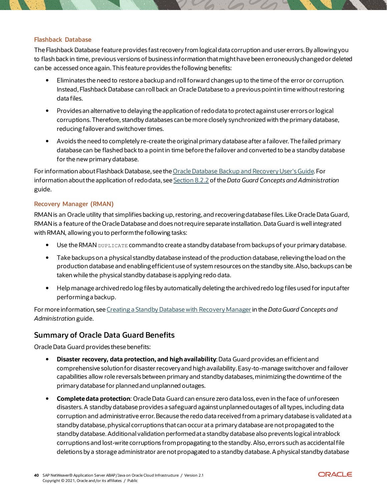#### **Flashback Database**

The Flashback Database feature provides fast recovery from logical data corruption and user errors. By allowing you to flash back in time, previous versions of business information that might have been erroneously changed or deleted can be accessed once again. This feature provides the following benefits:

- Eliminates the need to restore a backup and roll forward changes up to the time of the error or corruption. Instead, Flashback Database can roll back an Oracle Database to a previous pointin time without restoring data files.
- Provides an alternative to delaying the application of redo data to protect against user errors or logical corruptions. Therefore, standby databases can be more closely synchronized with the primary database, reducing failover and switchover times.
- Avoids the need to completely re-create the original primary database after a failover. The failed primary database can be flashed back to a point in time before the failover and converted to be a standby database for the new primary database.

For information about Flashback Database, see the [Oracle Database Backup and Recovery User's Guide.](https://docs.oracle.com/database/121/BRADV/flashdb.htm#BRADV71000) For information about the application of redo data, see [Section 8.2.2](https://docs.oracle.com/database/121/SBYDB/log_apply.htm#i1022811) of the *Data Guard Concepts and Administration* guide.

#### **Recovery Manager (RMAN)**

RMAN is an Oracle utility that simplifies backing up, restoring, and recovering database files. Like Oracle Data Guard, RMAN is a feature of the Oracle Database and does not require separate installation. Data Guard is well integrated with RMAN, allowing you to perform the following tasks:

- Use the RMAN DUPLICATE command to create a standby database from backups of your primary database.
- Take backups on a physical standby database instead of the production database, relieving the load on the production database and enabling efficient use of system resources on the standby site. Also, backups can be taken while the physical standby database is applying redo data.
- Help manage archived redo log files by automatically deleting the archived redo log files used for input after performing a backup.

For more information, see *[Creating a Standby Database with Recovery Manager](https://docs.oracle.com/database/121/SBYDB/rcmbackp.htm#g648533)* in the *Data Guard Concepts and Administration* guide.

### <span id="page-39-0"></span>**Summary of Oracle Data Guard Benefits**

Oracle Data Guard provides these benefits:

- **Disaster recovery, data protection, and high availability**: Data Guard provides an efficient and comprehensive solution for disaster recovery and high availability. Easy-to-manage switchover and failover capabilities allow role reversals between primary and standby databases, minimizing the downtime of the primary database for planned and unplanned outages.
- **Complete data protection**: Oracle Data Guard can ensure zero data loss, even in the face of unforeseen disasters. A standby database provides a safeguard against unplanned outages of all types, including data corruption and administrative error. Because the redo data received from a primary database is validated at a standby database, physical corruptions that can occur at a primary database are not propagated to the standby database. Additional validation performed at a standby database also prevents logical intrablock corruptions and lost-write corruptions from propagating to the standby. Also, errors such as accidental file deletions by a storage administrator are not propagated to a standby database. A physical standby database

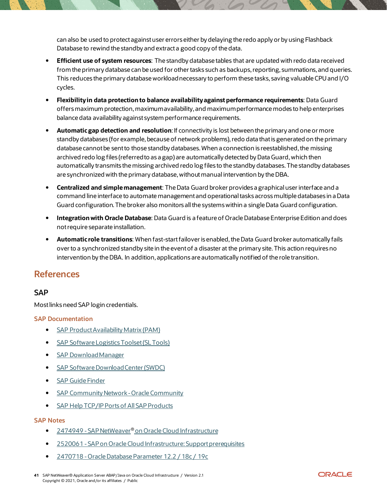can also be used to protect against user errors either by delaying the redo apply or by using Flashback Database to rewind the standby and extract a good copy of the data.

- **Efficient use of system resources**: The standby database tables that are updated with redo data received from the primary database can be used for other tasks such as backups, reporting, summations, and queries. This reduces the primary database workload necessary to perform these tasks, saving valuable CPU and I/O cycles.
- **Flexibility in data protection to balance availability against performance requirements**: Data Guard offers maximum protection, maximum availability, and maximum performance modes to help enterprises balance data availability against system performance requirements.
- **Automatic gap detection and resolution**: If connectivity is lost between the primary and one or more standby databases (for example, because of network problems), redo data that is generated on the primary database cannot be sent to those standby databases. When a connection is reestablished, the missing archived redo log files (referred to as a gap) are automatically detected by Data Guard, which then automatically transmits the missing archived redo log files to the standby databases. The standby databases are synchronized with the primary database, without manual intervention by the DBA.
- **Centralized and simple management**: The Data Guard broker provides a graphical user interface and a command line interface to automate management and operational tasks across multiple databases in a Data Guard configuration. The broker also monitors all the systems within a single Data Guard configuration.
- **Integration with Oracle Database**: Data Guard is a feature of Oracle Database Enterprise Edition and does not require separate installation.
- **Automatic role transitions**: When fast-start failover is enabled, the Data Guard broker automatically fails over to a synchronized standby site in the event of a disaster at the primary site. This action requires no intervention by the DBA. In addition, applications are automatically notified of the role transition.

# <span id="page-40-0"></span>**References**

### <span id="page-40-1"></span>**SAP**

Most links need SAP login credentials.

### **SAP Documentation**

- **[SAP Product Availability Matrix \(PAM\)](https://apps.support.sap.com/sap/support/pam)**
- [SAP Software Logistics Toolset \(SL Tools\)](https://support.sap.com/en/tools/software-logistics-tools.html)
- **[SAP Download Manager](https://support.sap.com/content/dam/support/en_us/library/ssp/my-support/help-for-sap-support-applications/online_help-download_manager.html)**
- [SAP Software Download Center \(SWDC\)](https://support.sap.com/swdc)
- **•** [SAP Guide Finder](https://cp.hana.ondemand.com/dps/d/preview/ec5624d5073d4c949b42bf284742748d/1.0/en-US/frameset.htm?576f5c1808de4d1abecbd6e503c9ba42.html)
- SAP Community Network Oracle Community
- [SAP Help TCP/IP Ports of All SAP Products](https://help.sap.com/viewer/ports)

#### **SAP Notes**

- 2474949 SAP NetWeaver® [on Oracle Cloud Infrastructure](https://launchpad.support.sap.com/#/notes/2474949)
- 2520061 -[SAP on Oracle Cloud Infrastructure: Support prerequisites](https://launchpad.support.sap.com/#/notes/)
- 2470718 -[Oracle Database Parameter 12.2 / 18c / 19c](https://launchpad.support.sap.com/#/notes/2470718)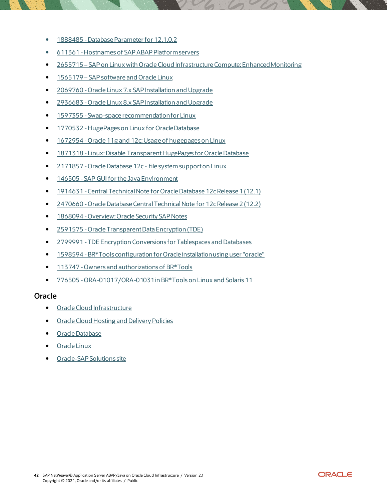- 1888485 -[Database Parameter for 12.1.0.2](https://launchpad.support.sap.com/#/notes/1888485)
- 611361 -[Hostnames of SAP ABAP Platform servers](https://launchpad.support.sap.com/#/notes/611361)
- 2655715 [SAP on Linux with Oracle Cloud Infrastructure Compute: Enhanced](https://launchpad.support.sap.com/#/notes/2655715) Monitoring
- 1565179 [SAP software and Oracle Linux](https://launchpad.support.sap.com/#/notes/1565179)
- 2069760 -[Oracle Linux 7.x SAP Installation and Upgrade](https://launchpad.support.sap.com/#/notes/2069760)
- 2936683 -[Oracle Linux 8.x SAP Installation and Upgrade](https://launchpad.support.sap.com/#/notes/2936683)
- 1597355 [-Swap-space recommendation for Linux](https://launchpad.support.sap.com/#/notes/1597355)
- 1770532 -[HugePages on Linux for Oracle Database](https://launchpad.support.sap.com/#/notes/1770532)
- 1672954 -[Oracle 11g and 12c: Usage of hugepages on Linux](https://launchpad.support.sap.com/#/notes/1672954)
- 1871318 -[Linux: Disable Transparent HugePages for Oracle Database](https://launchpad.support.sap.com/#/notes/1871318)
- 2171857 -Oracle Database 12c [file system support on Linux](https://launchpad.support.sap.com/#/notes/2171857)
- 146505 -[SAP GUI for the Java Environment](https://launchpad.support.sap.com/#/notes/146505)
- 1914631 [Central Technical Note for Oracle Database 12c Release 1 \(12.1\)](https://launchpad.support.sap.com/#/notes/1914631)
- 2470660 -[Oracle Database Central Technical Note for 12c Release 2 \(12.2\)](https://launchpad.support.sap.com/#/notes/2470660)
- 1868094 Overview: Oracle Security SAP Notes
- 2591575 -[Oracle Transparent Data Encryption \(TDE\)](https://launchpad.support.sap.com/#/notes/2591575)
- 2799991 -[TDE Encryption Conversions for Tablespaces and Databases](https://launchpad.support.sap.com/#/notes/2799991)
- 1598594 [-BR\\*Tools configuration for Oracle installation using user "oracle"](https://launchpad.support.sap.com/#/notes/1598594)
- 113747 [-Owners and authorizations of BR\\*Tools](https://launchpad.support.sap.com/#/notes/113747)
- 776505 -ORA-01017/ORA-[01031 in BR\\*Tools on Linux and Solaris 11](https://launchpad.support.sap.com/#/notes/776505)

#### <span id="page-41-0"></span>**Oracle**

- [Oracle Cloud Infrastructure](https://docs.oracle.com/en-us/iaas/Content/services.htm)
- **•** [Oracle Cloud Hosting and Delivery Policies](http://www.oracle.com/us/corporate/contracts/ocloud-hosting-delivery-policies-3089853.pdf)
- [Oracle Database](http://docs.oracle.com/en/database/)
- [Oracle Linux](http://docs.oracle.com/en/operating-systems/linux.html)
- [Oracle-SAP Solutions site](http://www.oracle.com/us/solutions/sap/introduction/overview/index.html)